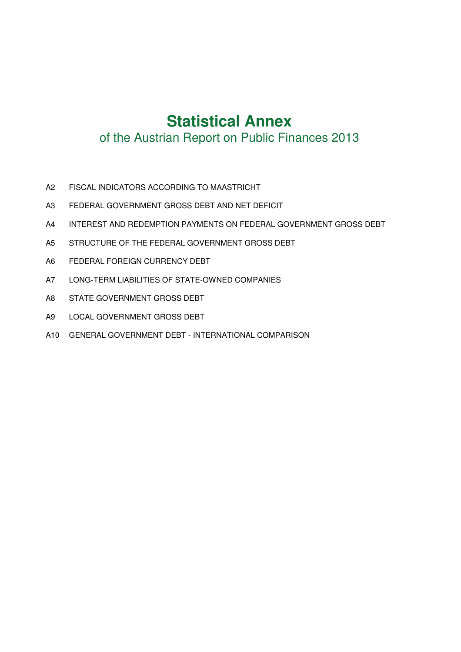# **Statistical Annex**

# of the Austrian Report on Public Finances 2013

- A2 FISCAL INDICATORS ACCORDING TO MAASTRICHT
- A3 FEDERAL GOVERNMENT GROSS DEBT AND NET DEFICIT
- A4 INTEREST AND REDEMPTION PAYMENTS ON FEDERAL GOVERNMENT GROSS DEBT
- A5 STRUCTURE OF THE FEDERAL GOVERNMENT GROSS DEBT
- A6 FEDERAL FOREIGN CURRENCY DEBT
- A7 LONG-TERM LIABILITIES OF STATE-OWNED COMPANIES
- A8 STATE GOVERNMENT GROSS DEBT
- A9 LOCAL GOVERNMENT GROSS DEBT
- A10 GENERAL GOVERNMENT DEBT INTERNATIONAL COMPARISON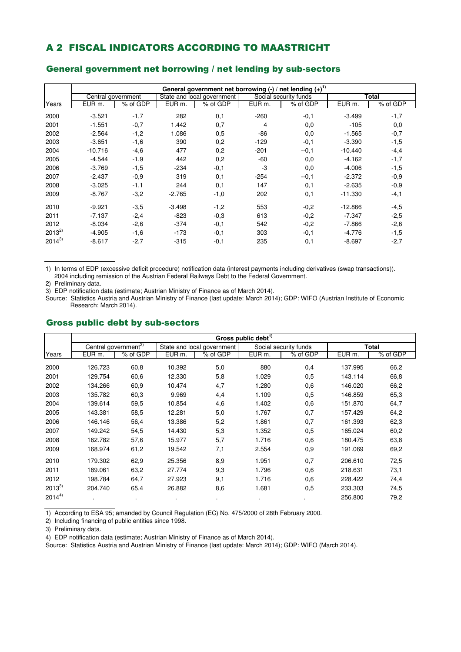### A 2 FISCAL INDICATORS ACCORDING TO MAASTRICHT

|            | General government net borrowing $(-)$ / net lending $(+)^{1}$ |          |                    |                            |                    |                       |                    |          |  |  |  |  |  |
|------------|----------------------------------------------------------------|----------|--------------------|----------------------------|--------------------|-----------------------|--------------------|----------|--|--|--|--|--|
|            | Central government                                             |          |                    | State and local government |                    | Social security funds |                    | Total    |  |  |  |  |  |
| Years      | EUR <sub>m</sub> .                                             | % of GDP | EUR <sub>m</sub> . | % of GDP                   | EUR <sub>m</sub> . | % of GDP              | EUR <sub>m</sub> . | % of GDP |  |  |  |  |  |
|            |                                                                |          |                    |                            |                    |                       |                    |          |  |  |  |  |  |
| 2000       | $-3.521$                                                       | $-1,7$   | 282                | 0,1                        | $-260$             | $-0,1$                | $-3.499$           | $-1,7$   |  |  |  |  |  |
| 2001       | $-1.551$                                                       | $-0,7$   | 1.442              | 0,7                        | 4                  | 0,0                   | $-105$             | 0,0      |  |  |  |  |  |
| 2002       | $-2.564$                                                       | $-1,2$   | 1.086              | 0,5                        | $-86$              | 0,0                   | $-1.565$           | $-0,7$   |  |  |  |  |  |
| 2003       | $-3.651$                                                       | $-1,6$   | 390                | 0,2                        | $-129$             | $-0,1$                | $-3.390$           | $-1,5$   |  |  |  |  |  |
| 2004       | $-10.716$                                                      | $-4,6$   | 477                | 0,2                        | $-201$             | $-0,1$                | $-10.440$          | $-4,4$   |  |  |  |  |  |
| 2005       | $-4.544$                                                       | $-1,9$   | 442                | 0,2                        | $-60$              | 0,0                   | $-4.162$           | $-1,7$   |  |  |  |  |  |
| 2006       | $-3.769$                                                       | $-1,5$   | $-234$             | $-0,1$                     | -3                 | 0,0                   | $-4.006$           | $-1,5$   |  |  |  |  |  |
| 2007       | $-2.437$                                                       | $-0.9$   | 319                | 0,1                        | $-254$             | $-0,1$                | $-2.372$           | $-0,9$   |  |  |  |  |  |
| 2008       | $-3.025$                                                       | $-1,1$   | 244                | 0,1                        | 147                | 0,1                   | $-2.635$           | $-0,9$   |  |  |  |  |  |
| 2009       | $-8.767$                                                       | $-3,2$   | $-2.765$           | $-1,0$                     | 202                | 0,1                   | $-11.330$          | $-4,1$   |  |  |  |  |  |
| 2010       | $-9.921$                                                       | $-3.5$   | $-3.498$           | $-1,2$                     | 553                | $-0,2$                | $-12.866$          | $-4,5$   |  |  |  |  |  |
| 2011       | $-7.137$                                                       | $-2,4$   | $-823$             | $-0,3$                     | 613                | $-0,2$                | $-7.347$           | $-2,5$   |  |  |  |  |  |
| 2012       | $-8.034$                                                       | $-2,6$   | $-374$             | $-0,1$                     | 542                | $-0,2$                | $-7.866$           | $-2,6$   |  |  |  |  |  |
| $2013^{2}$ | $-4.905$                                                       | $-1,6$   | $-173$             | $-0,1$                     | 303                | $-0,1$                | $-4.776$           | $-1,5$   |  |  |  |  |  |
| $2014^{3}$ | $-8.617$                                                       | $-2,7$   | $-315$             | $-0,1$                     | 235                | 0,1                   | $-8.697$           | $-2,7$   |  |  |  |  |  |

#### General government net borrowing / net lending by sub-sectors

1) In terms of EDP (excessive deficit procedure) notification data (interest payments including derivatives (swap transactions)). 2004 including remission of the Austrian Federal Railways Debt to the Federal Government.

2) Preliminary data.

3) EDP notification data (estimate; Austrian Ministry of Finance as of March 2014).

Source: Statistics Austria and Austrian Ministry of Finance (last update: March 2014); GDP: WIFO (Austrian Institute of Economic Research; March 2014).

#### Gross public debt by sub-sectors

|            | Gross public debt <sup>1)</sup>  |          |                    |                            |                    |                       |                    |          |  |  |  |  |  |
|------------|----------------------------------|----------|--------------------|----------------------------|--------------------|-----------------------|--------------------|----------|--|--|--|--|--|
|            | Central government <sup>2)</sup> |          |                    | State and local government |                    | Social security funds |                    | Total    |  |  |  |  |  |
| Years      | EUR m.                           | % of GDP | EUR <sub>m</sub> . | % of GDP                   | EUR <sub>m</sub> . | % of GDP              | EUR <sub>m</sub> . | % of GDP |  |  |  |  |  |
| 2000       | 126.723                          | 60,8     | 10.392             | 5,0                        | 880                | 0,4                   | 137.995            | 66,2     |  |  |  |  |  |
| 2001       | 129.754                          | 60,6     | 12.330             | 5,8                        | 1.029              | 0,5                   | 143.114            | 66,8     |  |  |  |  |  |
| 2002       | 134.266                          | 60,9     | 10.474             | 4,7                        | 1.280              | 0,6                   | 146.020            | 66,2     |  |  |  |  |  |
| 2003       | 135.782                          | 60,3     | 9.969              | 4,4                        | 1.109              | 0,5                   | 146.859            | 65,3     |  |  |  |  |  |
| 2004       | 139.614                          | 59,5     | 10.854             | 4,6                        | 1.402              | 0,6                   | 151.870            | 64,7     |  |  |  |  |  |
| 2005       | 143.381                          | 58,5     | 12.281             | 5,0                        | 1.767              | 0,7                   | 157.429            | 64,2     |  |  |  |  |  |
| 2006       | 146.146                          | 56,4     | 13.386             | 5,2                        | 1.861              | 0,7                   | 161.393            | 62,3     |  |  |  |  |  |
| 2007       | 149.242                          | 54,5     | 14.430             | 5,3                        | 1.352              | 0,5                   | 165.024            | 60,2     |  |  |  |  |  |
| 2008       | 162.782                          | 57,6     | 15.977             | 5,7                        | 1.716              | 0,6                   | 180.475            | 63,8     |  |  |  |  |  |
| 2009       | 168.974                          | 61,2     | 19.542             | 7,1                        | 2.554              | 0,9                   | 191.069            | 69,2     |  |  |  |  |  |
| 2010       | 179.302                          | 62,9     | 25.356             | 8,9                        | 1.951              | 0,7                   | 206.610            | 72,5     |  |  |  |  |  |
| 2011       | 189.061                          | 63,2     | 27.774             | 9,3                        | 1.796              | 0,6                   | 218.631            | 73,1     |  |  |  |  |  |
| 2012       | 198.784                          | 64,7     | 27.923             | 9,1                        | 1.716              | 0,6                   | 228.422            | 74,4     |  |  |  |  |  |
| $2013^{3}$ | 204.740                          | 65,4     | 26.882             | 8,6                        | 1.681              | 0,5                   | 233.303            | 74,5     |  |  |  |  |  |
| $2014^{4}$ |                                  | ٠        |                    |                            |                    |                       | 256.800            | 79,2     |  |  |  |  |  |

1) According to ESA 95; amanded by Council Regulation (EC) No. 475/2000 of 28th February 2000.

2) Including financing of public entities since 1998.

3) Preliminary data.

4) EDP notification data (estimate; Austrian Ministry of Finance as of March 2014).

Source: Statistics Austria and Austrian Ministry of Finance (last update: March 2014); GDP: WIFO (March 2014).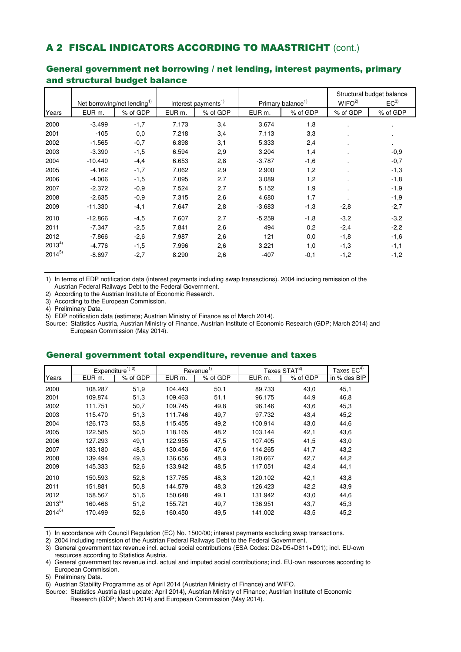### A 2 FISCAL INDICATORS ACCORDING TO MAASTRICHT (cont.)

|            |           | Net borrowing/net lending <sup>1)</sup> |                    | Interest payments <sup>1)</sup> |                   | Primary balance <sup>1)</sup> | WIFO <sup>2</sup> | Structural budget balance<br>EC <sup>3</sup> |
|------------|-----------|-----------------------------------------|--------------------|---------------------------------|-------------------|-------------------------------|-------------------|----------------------------------------------|
|            |           |                                         |                    |                                 |                   |                               |                   |                                              |
| Years      | EUR m.    | % of GDP                                | EUR <sub>m</sub> . | % of GDP                        | EUR <sub>m.</sub> | % of GDP                      | % of GDP          | % of GDP                                     |
| 2000       | $-3.499$  | $-1,7$                                  | 7.173              | 3,4                             | 3.674             | 1,8                           |                   | $\bullet$                                    |
| 2001       | $-105$    | 0,0                                     | 7.218              | 3,4                             | 7.113             | 3,3                           |                   | $\blacksquare$                               |
| 2002       | $-1.565$  | $-0,7$                                  | 6.898              | 3,1                             | 5.333             | 2,4                           |                   | $\blacksquare$                               |
| 2003       | $-3.390$  | $-1,5$                                  | 6.594              | 2,9                             | 3.204             | 1,4                           |                   | $-0,9$                                       |
| 2004       | $-10.440$ | $-4,4$                                  | 6.653              | 2,8                             | $-3.787$          | $-1,6$                        |                   | $-0,7$                                       |
| 2005       | $-4.162$  | $-1,7$                                  | 7.062              | 2,9                             | 2.900             | 1,2                           |                   | $-1,3$                                       |
| 2006       | $-4.006$  | $-1,5$                                  | 7.095              | 2,7                             | 3.089             | 1,2                           |                   | $-1,8$                                       |
| 2007       | $-2.372$  | $-0.9$                                  | 7.524              | 2,7                             | 5.152             | 1,9                           |                   | $-1,9$                                       |
| 2008       | $-2.635$  | $-0,9$                                  | 7.315              | 2,6                             | 4.680             | 1,7                           |                   | $-1,9$                                       |
| 2009       | $-11.330$ | $-4,1$                                  | 7.647              | 2,8                             | $-3.683$          | $-1,3$                        | $-2,8$            | $-2,7$                                       |
| 2010       | $-12.866$ | $-4,5$                                  | 7.607              | 2,7                             | $-5.259$          | $-1,8$                        | $-3,2$            | $-3,2$                                       |
| 2011       | $-7.347$  | $-2,5$                                  | 7.841              | 2,6                             | 494               | 0,2                           | $-2,4$            | $-2,2$                                       |
| 2012       | $-7.866$  | $-2,6$                                  | 7.987              | 2,6                             | 121               | 0,0                           | $-1,8$            | $-1,6$                                       |
| $2013^{4}$ | $-4.776$  | $-1,5$                                  | 7.996              | 2,6                             | 3.221             | 1,0                           | $-1,3$            | $-1,1$                                       |
| $2014^{5}$ | $-8.697$  | $-2,7$                                  | 8.290              | 2,6                             | $-407$            | $-0,1$                        | $-1,2$            | $-1,2$                                       |

#### General government net borrowing / net lending, interest payments, primary and structural budget balance

1) In terms of EDP notification data (interest payments including swap transactions). 2004 including remission of the Austrian Federal Railways Debt to the Federal Government.

2) According to the Austrian Institute of Economic Research.

3) According to the European Commission.

4) Preliminary Data.

5) EDP notification data (estimate; Austrian Ministry of Finance as of March 2014).

Source: Statistics Austria, Austrian Ministry of Finance, Austrian Institute of Economic Research (GDP; March 2014) and European Commission (May 2014).

#### General government total expenditure, revenue and taxes

|            |         | Expenditure <sup>1) 2)</sup> |                    | Revenue <sup>1)</sup> | Taxes STAT <sup>3)</sup> |          | Taxes $EC^{4)}$ |
|------------|---------|------------------------------|--------------------|-----------------------|--------------------------|----------|-----------------|
| Years      | EUR m.  | % of GDP                     | EUR <sub>m</sub> . | % of GDP              | EUR <sub>m</sub> .       | % of GDP | in % des BIP    |
| 2000       | 108.287 | 51,9                         | 104.443            | 50,1                  | 89.733                   | 43,0     | 45,1            |
| 2001       | 109.874 | 51,3                         | 109.463            | 51,1                  | 96.175                   | 44,9     | 46,8            |
| 2002       | 111.751 | 50,7                         | 109.745            | 49,8                  | 96.146                   | 43,6     | 45,3            |
| 2003       | 115.470 | 51,3                         | 111.746            | 49,7                  | 97.732                   | 43,4     | 45,2            |
| 2004       | 126.173 | 53,8                         | 115.455            | 49,2                  | 100.914                  | 43,0     | 44,6            |
| 2005       | 122.585 | 50,0                         | 118.165            | 48,2                  | 103.144                  | 42,1     | 43,6            |
| 2006       | 127.293 | 49,1                         | 122.955            | 47,5                  | 107.405                  | 41,5     | 43,0            |
| 2007       | 133.180 | 48,6                         | 130.456            | 47,6                  | 114.265                  | 41,7     | 43,2            |
| 2008       | 139.494 | 49,3                         | 136.656            | 48,3                  | 120.667                  | 42,7     | 44,2            |
| 2009       | 145.333 | 52,6                         | 133.942            | 48,5                  | 117.051                  | 42,4     | 44,1            |
| 2010       | 150.593 | 52,8                         | 137.765            | 48,3                  | 120.102                  | 42,1     | 43,8            |
| 2011       | 151.881 | 50,8                         | 144.579            | 48,3                  | 126.423                  | 42,2     | 43,9            |
| 2012       | 158.567 | 51,6                         | 150.648            | 49,1                  | 131.942                  | 43,0     | 44,6            |
| $2013^{5}$ | 160.466 | 51,2                         | 155.721            | 49,7                  | 136.951                  | 43,7     | 45,3            |
| $2014^{6}$ | 170.499 | 52,6                         | 160.450            | 49,5                  | 141.002                  | 43,5     | 45,2            |

1) In accordance with Council Regulation (EC) No. 1500/00; interest payments excluding swap transactions.

2) 2004 including remission of the Austrian Federal Railways Debt to the Federal Government.

3) General government tax revenue incl. actual social contributions (ESA Codes: D2+D5+D611+D91); incl. EU-own resources according to Statistics Austria.

4) General government tax revenue incl. actual and imputed social contributions; incl. EU-own resources according to European Commission.

5) Preliminary Data.

6) Austrian Stability Programme as of April 2014 (Austrian Ministry of Finance) and WIFO.

Source: Statistics Austria (last update: April 2014), Austrian Ministry of Finance; Austrian Institute of Economic Research (GDP; March 2014) and European Commission (May 2014).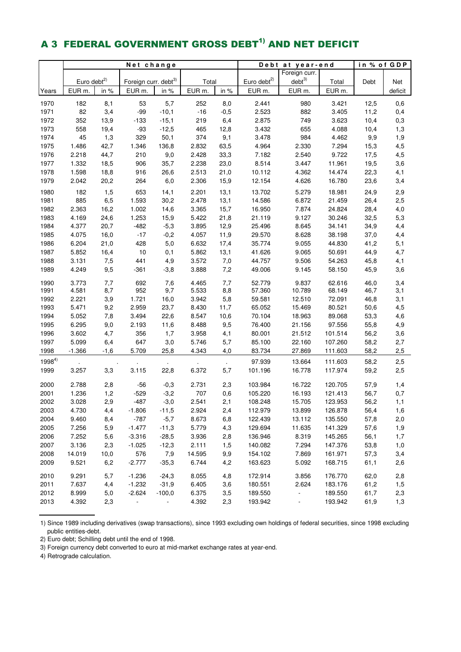# A 3 FEDERAL GOVERNMENT GROSS DEBT<sup>1)</sup> AND NET DEFICIT

|            | Net change              |            |                                  |                |        |                | Debt                    | at year-end              | in % of GDP |      |            |
|------------|-------------------------|------------|----------------------------------|----------------|--------|----------------|-------------------------|--------------------------|-------------|------|------------|
|            |                         |            |                                  |                |        |                |                         | Foreign curr.            |             |      |            |
|            | Euro debt <sup>2)</sup> |            | Foreign curr. debt <sup>3)</sup> |                | Total  |                | Euro debt <sup>2)</sup> | $debt^{3)}$              | Total       | Debt | Net        |
| Years      | EUR <sub>m.</sub>       | in %       | EUR <sub>m.</sub>                | in %           | EUR m. | in %           | EUR m.                  | EUR m.                   | EUR m.      |      | deficit    |
| 1970       | 182                     | 8,1        | 53                               | 5,7            | 252    | 8,0            | 2.441                   | 980                      | 3.421       | 12,5 | 0,6        |
| 1971       | 82                      | 3,4        | $-99$                            | $-10,1$        | $-16$  | $-0,5$         | 2.523                   | 882                      | 3.405       | 11,2 | 0,4        |
| 1972       | 352                     | 13,9       | $-133$                           | $-15,1$        | 219    | 6,4            | 2.875                   | 749                      | 3.623       | 10,4 | 0,3        |
| 1973       | 558                     | 19,4       | $-93$                            | $-12,5$        | 465    | 12,8           | 3.432                   | 655                      | 4.088       | 10,4 | 1,3        |
| 1974       | 45                      | 1,3        | 329                              | 50,1           | 374    | 9,1            | 3.478                   | 984                      | 4.462       | 9,9  | 1,9        |
| 1975       | 1.486                   | 42,7       | 1.346                            | 136,8          | 2.832  | 63,5           | 4.964                   | 2.330                    | 7.294       | 15,3 | 4,5        |
| 1976       | 2.218                   | 44,7       | 210                              | 9,0            | 2.428  | 33,3           | 7.182                   | 2.540                    | 9.722       | 17,5 | 4,5        |
| 1977       | 1.332                   | 18,5       | 906                              | 35,7           | 2.238  | 23,0           | 8.514                   | 3.447                    | 11.961      | 19,5 | 3,6        |
| 1978       | 1.598                   | 18,8       | 916                              | 26,6           | 2.513  | 21,0           | 10.112                  | 4.362                    | 14.474      | 22,3 | 4,1        |
| 1979       | 2.042                   | 20,2       | 264                              | 6,0            | 2.306  | 15,9           | 12.154                  | 4.626                    | 16.780      | 23,6 | 3,4        |
| 1980       | 182                     | 1,5        | 653                              | 14,1           | 2.201  | 13,1           | 13.702                  | 5.279                    | 18.981      | 24,9 | 2,9        |
| 1981       | 885                     | 6,5        | 1.593                            | 30,2           | 2.478  | 13,1           | 14.586                  | 6.872                    | 21.459      | 26,4 | 2,5        |
| 1982       | 2.363                   | 16,2       | 1.002                            | 14,6           | 3.365  | 15,7           | 16.950                  | 7.874                    | 24.824      | 28,4 | 4,0        |
| 1983       | 4.169                   | 24,6       | 1.253                            | 15,9           | 5.422  | 21,8           | 21.119                  | 9.127                    | 30.246      | 32,5 | 5,3        |
| 1984       | 4.377                   | 20,7       | $-482$                           | $-5,3$         | 3.895  | 12,9           | 25.496                  | 8.645                    | 34.141      | 34,9 | 4,4        |
| 1985       | 4.075                   | 16,0       | $-17$                            | $-0,2$         | 4.057  | 11,9           | 29.570                  | 8.628                    | 38.198      | 37,0 | 4,4        |
| 1986       | 6.204                   | 21,0       | 428                              | 5,0            | 6.632  | 17,4           | 35.774                  | 9.055                    | 44.830      | 41,2 | 5,1        |
| 1987       | 5.852                   | 16,4       | 10                               | 0,1            | 5.862  | 13,1           | 41.626                  | 9.065                    | 50.691      | 44,9 | 4,7        |
| 1988       | 3.131                   | 7,5        | 441                              | 4,9            | 3.572  | 7,0            | 44.757                  | 9.506                    | 54.263      | 45,8 | 4,1        |
| 1989       | 4.249                   | 9,5        | $-361$                           | $-3,8$         | 3.888  | 7,2            | 49.006                  | 9.145                    | 58.150      | 45,9 | 3,6        |
| 1990       | 3.773                   |            | 692                              | 7,6            | 4.465  | 7,7            | 52.779                  | 9.837                    | 62.616      | 46,0 |            |
| 1991       | 4.581                   | 7,7<br>8,7 | 952                              | 9,7            | 5.533  | 8,8            | 57.360                  | 10.789                   | 68.149      | 46,7 | 3,4<br>3,1 |
| 1992       | 2.221                   | 3,9        | 1.721                            | 16,0           | 3.942  | 5,8            | 59.581                  | 12.510                   | 72.091      | 46,8 | 3,1        |
| 1993       | 5.471                   | 9,2        | 2.959                            | 23,7           | 8.430  | 11,7           | 65.052                  | 15.469                   | 80.521      | 50,6 | 4,5        |
| 1994       | 5.052                   | 7,8        | 3.494                            | 22,6           | 8.547  | 10,6           | 70.104                  | 18.963                   | 89.068      | 53,3 | 4,6        |
| 1995       | 6.295                   | 9,0        | 2.193                            | 11,6           | 8.488  | 9,5            | 76.400                  | 21.156                   | 97.556      | 55,8 | 4,9        |
| 1996       | 3.602                   | 4,7        | 356                              | 1,7            | 3.958  | 4,1            | 80.001                  | 21.512                   | 101.514     | 56,2 | 3,6        |
| 1997       | 5.099                   | 6,4        | 647                              | 3,0            | 5.746  | 5,7            | 85.100                  | 22.160                   | 107.260     | 58,2 | 2,7        |
| 1998       | $-1.366$                | $-1,6$     | 5.709                            | 25,8           | 4.343  | 4,0            | 83.734                  | 27.869                   | 111.603     | 58,2 | 2,5        |
| $1998^{4}$ |                         |            |                                  |                |        |                | 97.939                  | 13.664                   | 111.603     | 58,2 | 2,5        |
| 1999       | 3.257                   | 3,3        | 3.115                            | 22,8           | 6.372  | $\cdot$<br>5,7 | 101.196                 | 16.778                   | 117.974     | 59,2 | 2,5        |
|            |                         |            |                                  |                |        |                |                         |                          |             |      |            |
| 2000       | 2.788                   | 2,8        | $-56$                            | $-0,3$         | 2.731  | 2,3            | 103.984                 | 16.722                   | 120.705     | 57,9 | 1,4        |
| 2001       | 1.236                   | 1,2        | $-529$                           | $-3,2$         | 707    | 0,6            | 105.220                 | 16.193                   | 121.413     | 56,7 | 0,7        |
| 2002       | 3.028                   | 2,9        | $-487$                           | $-3,0$         | 2.541  | 2,1            | 108.248                 | 15.705                   | 123.953     | 56,2 | 1,1        |
| 2003       | 4.730                   | 4,4        | $-1.806$                         | $-11,5$        | 2.924  | 2,4            | 112.979                 | 13.899                   | 126.878     | 56,4 | 1,6        |
| 2004       | 9.460                   | 8,4        | $-787$                           | $-5,7$         | 8.673  | 6,8            | 122.439                 | 13.112                   | 135.550     | 57,8 | 2,0        |
| 2005       | 7.256                   | 5,9        | $-1.477$                         | $-11,3$        | 5.779  | 4,3            | 129.694                 | 11.635                   | 141.329     | 57,6 | 1,9        |
| 2006       | 7.252                   | 5,6        | $-3.316$                         | $-28,5$        | 3.936  | 2,8            | 136.946                 | 8.319                    | 145.265     | 56,1 | 1,7        |
| 2007       | 3.136                   | 2,3        | $-1.025$                         | $-12,3$        | 2.111  | 1,5            | 140.082                 | 7.294                    | 147.376     | 53,8 | 1,0        |
| 2008       | 14.019                  | 10,0       | 576                              | 7,9            | 14.595 | 9,9            | 154.102                 | 7.869                    | 161.971     | 57,3 | 3,4        |
| 2009       | 9.521                   | 6,2        | $-2.777$                         | $-35,3$        | 6.744  | 4,2            | 163.623                 | 5.092                    | 168.715     | 61,1 | 2,6        |
| 2010       | 9.291                   | 5,7        | $-1.236$                         | $-24,3$        | 8.055  | 4,8            | 172.914                 | 3.856                    | 176.770     | 62,0 | 2,8        |
| 2011       | 7.637                   | 4,4        | $-1.232$                         | $-31,9$        | 6.405  | 3,6            | 180.551                 | 2.624                    | 183.176     | 61,2 | 1,5        |
| 2012       | 8.999                   | 5,0        | $-2.624$                         | $-100,0$       | 6.375  | 3,5            | 189.550                 | $\overline{\phantom{a}}$ | 189.550     | 61,7 | 2,3        |
| 2013       | 4.392                   | 2,3        | $\blacksquare$                   | $\blacksquare$ | 4.392  | 2,3            | 193.942                 | $\overline{\phantom{a}}$ | 193.942     | 61,9 | 1,3        |

1) Since 1989 including derivatives (swap transactions), since 1993 excluding own holdings of federal securities, since 1998 excluding public entities-debt.

2) Euro debt; Schilling debt until the end of 1998.

3) Foreign currency debt converted to euro at mid-market exchange rates at year-end.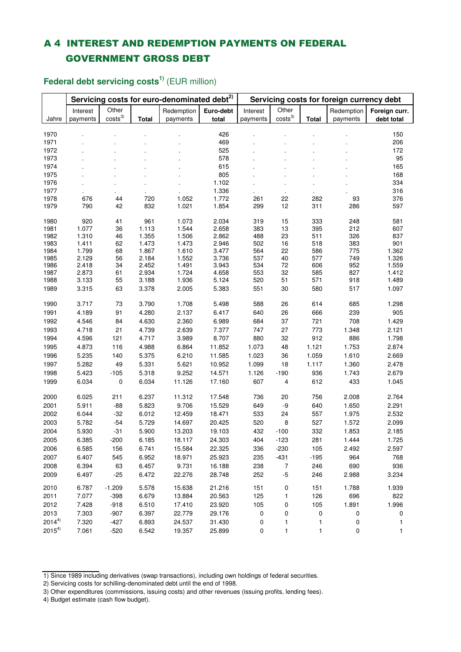## A 4 INTEREST AND REDEMPTION PAYMENTS ON FEDERAL GOVERNMENT GROSS DEBT

|              |                | Servicing costs for euro-denominated debt <sup>2)</sup> |                       | Servicing costs for foreign currency debt |                |            |                     |                |            |                |
|--------------|----------------|---------------------------------------------------------|-----------------------|-------------------------------------------|----------------|------------|---------------------|----------------|------------|----------------|
|              | Interest       | Other                                                   |                       | Redemption                                | Euro-debt      | Interest   | Other               |                | Redemption | Foreign curr.  |
| Jahre        | payments       | $\mathbf{costs}^3$                                      | <b>Total</b>          | payments                                  | total          | payments   | costs <sup>3)</sup> | <b>Total</b>   | payments   | debt total     |
|              |                |                                                         |                       |                                           |                |            |                     |                |            |                |
| 1970         |                |                                                         |                       |                                           | 426            |            |                     |                |            | 150            |
| 1971         |                |                                                         |                       |                                           | 469            |            |                     |                |            | 206            |
| 1972         |                |                                                         |                       |                                           | 525            |            |                     |                |            | 172            |
| 1973<br>1974 |                |                                                         |                       |                                           | 578            |            |                     |                |            | 95             |
| 1975         |                |                                                         |                       |                                           | 615<br>805     |            |                     |                |            | 165<br>168     |
| 1976         |                |                                                         |                       |                                           | 1.102          |            |                     |                |            | 334            |
| 1977         |                |                                                         |                       |                                           | 1.336          |            |                     |                |            | 316            |
| 1978         | 676            | 44                                                      | $\blacksquare$<br>720 | 1.052                                     | 1.772          | 261        | $\cdot$<br>22       | $\cdot$<br>282 | 93         | 376            |
| 1979         | 790            | 42                                                      | 832                   | 1.021                                     | 1.854          | 299        | 12                  | 311            | 286        | 597            |
|              |                |                                                         |                       |                                           |                |            |                     |                |            |                |
| 1980         | 920            | 41                                                      | 961                   | 1.073                                     | 2.034          | 319        | 15                  | 333            | 248        | 581            |
| 1981         | 1.077          | 36                                                      | 1.113                 | 1.544                                     | 2.658          | 383        | 13                  | 395            | 212        | 607            |
| 1982         | 1.310          | 46                                                      | 1.355                 | 1.506                                     | 2.862          | 488        | 23                  | 511            | 326        | 837            |
| 1983         | 1.411          | 62                                                      | 1.473                 | 1.473                                     | 2.946          | 502        | 16                  | 518            | 383        | 901            |
| 1984         | 1.799          | 68                                                      | 1.867                 | 1.610                                     | 3.477          | 564        | 22                  | 586            | 775        | 1.362          |
| 1985<br>1986 | 2.129<br>2.418 | 56<br>34                                                | 2.184<br>2.452        | 1.552<br>1.491                            | 3.736<br>3.943 | 537<br>534 | 40<br>72            | 577<br>606     | 749<br>952 | 1.326<br>1.559 |
| 1987         | 2.873          | 61                                                      | 2.934                 | 1.724                                     | 4.658          | 553        | 32                  | 585            | 827        | 1.412          |
| 1988         | 3.133          | 55                                                      | 3.188                 | 1.936                                     | 5.124          | 520        | 51                  | 571            | 918        | 1.489          |
| 1989         | 3.315          | 63                                                      | 3.378                 | 2.005                                     | 5.383          | 551        | 30                  | 580            | 517        | 1.097          |
|              |                |                                                         |                       |                                           |                |            |                     |                |            |                |
| 1990         | 3.717          | 73                                                      | 3.790                 | 1.708                                     | 5.498          | 588        | 26                  | 614            | 685        | 1.298          |
| 1991         | 4.189          | 91                                                      | 4.280                 | 2.137                                     | 6.417          | 640        | 26                  | 666            | 239        | 905            |
| 1992         | 4.546          | 84                                                      | 4.630                 | 2.360                                     | 6.989          | 684        | 37                  | 721            | 708        | 1.429          |
| 1993         | 4.718          | 21                                                      | 4.739                 | 2.639                                     | 7.377          | 747        | 27                  | 773            | 1.348      | 2.121          |
| 1994         | 4.596          | 121                                                     | 4.717                 | 3.989                                     | 8.707          | 880        | 32                  | 912            | 886        | 1.798          |
| 1995         | 4.873          | 116                                                     | 4.988                 | 6.864                                     | 11.852         | 1.073      | 48                  | 1.121          | 1.753      | 2.874          |
| 1996         | 5.235          | 140                                                     | 5.375                 | 6.210                                     | 11.585         | 1.023      | 36                  | 1.059          | 1.610      | 2.669          |
| 1997         | 5.282          | 49                                                      | 5.331                 | 5.621                                     | 10.952         | 1.099      | 18                  | 1.117          | 1.360      | 2.478          |
| 1998         | 5.423          | $-105$                                                  | 5.318                 | 9.252                                     | 14.571         | 1.126      | $-190$              | 936            | 1.743      | 2.679          |
| 1999         | 6.034          | 0                                                       | 6.034                 | 11.126                                    | 17.160         | 607        | 4                   | 612            | 433        | 1.045          |
|              |                |                                                         |                       |                                           |                |            |                     |                |            |                |
| 2000         | 6.025          | 211                                                     | 6.237                 | 11.312                                    | 17.548         | 736        | 20                  | 756            | 2.008      | 2.764          |
| 2001         | 5.911          | $-88$                                                   | 5.823                 | 9.706                                     | 15.529         | 649        | -9                  | 640            | 1.650      | 2.291          |
| 2002         | 6.044          | $-32$                                                   | 6.012                 | 12.459                                    | 18.471         | 533        | 24                  | 557            | 1.975      | 2.532          |
| 2003         | 5.782          | $-54$                                                   | 5.729                 | 14.697                                    | 20.425         | 520        | 8                   | 527            | 1.572      | 2.099          |
| 2004         | 5.930          | $-31$                                                   | 5.900                 | 13.203                                    | 19.103         | 432        | $-100$              | 332            | 1.853      | 2.185          |
| 2005         | 6.385          | $-200$                                                  | 6.185                 | 18.117                                    | 24.303         | 404        | $-123$              | 281            | 1.444      | 1.725          |
| 2006         | 6.585          | 156                                                     | 6.741                 | 15.584                                    | 22.325         | 336        | $-230$              | 105            | 2.492      | 2.597          |
| 2007         | 6.407          | 545                                                     | 6.952                 | 18.971                                    | 25.923         | 235        | $-431$              | $-195$         | 964        | 768            |
| 2008         | 6.394          | 63                                                      | 6.457                 | 9.731                                     | 16.188         | 238        | $\overline{7}$      | 246            | 690        | 936            |
| 2009         | 6.497          | $-25$                                                   | 6.472                 | 22.276                                    | 28.748         | 252        | $-5$                | 246            | 2.988      | 3.234          |
| 2010         | 6.787          | $-1.209$                                                | 5.578                 | 15.638                                    | 21.216         | 151        | 0                   | 151            | 1.788      | 1.939          |
| 2011         | 7.077          | $-398$                                                  | 6.679                 | 13.884                                    | 20.563         | 125        | 1                   | 126            | 696        | 822            |
| 2012         | 7.428          | $-918$                                                  | 6.510                 | 17.410                                    | 23.920         | 105        | 0                   | 105            | 1.891      | 1.996          |
| 2013         | 7.303          | $-907$                                                  | 6.397                 | 22.779                                    | 29.176         | 0          | 0                   | 0              | 0          | 0              |
| $2014^{4}$   | 7.320          | $-427$                                                  | 6.893                 | 24.537                                    | 31.430         | 0          | $\mathbf{1}$        | 1              | 0          | 1              |
| $2015^{4}$   | 7.061          | $-520$                                                  | 6.542                 | 19.357                                    | 25.899         |            | 1                   |                | 0          | 1              |
|              |                |                                                         |                       |                                           |                | 0          |                     | 1              |            |                |

**Federal debt servicing costs1)** (EUR million)

4) Budget estimate (cash flow budget).

<sup>1)</sup> Since 1989 including derivatives (swap transactions), including own holdings of federal securities.

<sup>2)</sup> Servicing costs for schilling-denominated debt until the end of 1998.

<sup>3)</sup> Other expenditures (commissions, issuing costs) and other revenues (issuing profits, lending fees).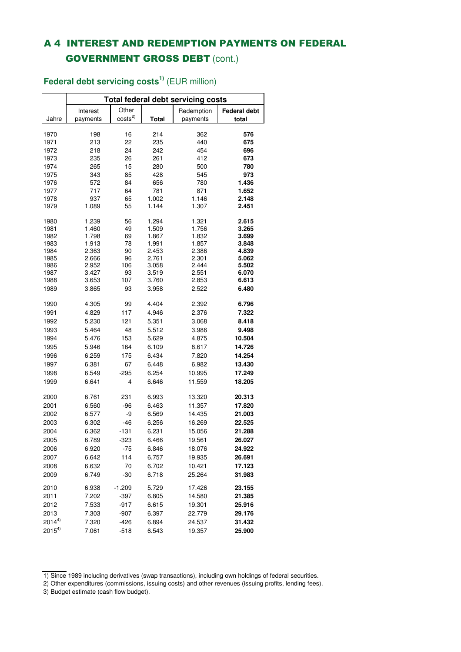# A 4 INTEREST AND REDEMPTION PAYMENTS ON FEDERAL GOVERNMENT GROSS DEBT (cont.)

|              | <b>Total federal debt servicing costs</b> |             |                |                |                     |  |  |  |  |  |  |  |
|--------------|-------------------------------------------|-------------|----------------|----------------|---------------------|--|--|--|--|--|--|--|
|              | Interest                                  | Other       |                | Redemption     | <b>Federal debt</b> |  |  |  |  |  |  |  |
| Jahre        | payments                                  | $\cos ts^2$ | Total          | payments       | total               |  |  |  |  |  |  |  |
|              |                                           |             |                |                |                     |  |  |  |  |  |  |  |
| 1970         | 198                                       | 16          | 214            | 362            | 576                 |  |  |  |  |  |  |  |
| 1971         | 213                                       | 22          | 235            | 440            | 675                 |  |  |  |  |  |  |  |
| 1972         | 218                                       | 24          | 242            | 454            | 696                 |  |  |  |  |  |  |  |
| 1973         | 235                                       | 26          | 261            | 412            | 673                 |  |  |  |  |  |  |  |
| 1974         | 265                                       | 15          | 280            | 500            | 780                 |  |  |  |  |  |  |  |
| 1975         | 343                                       | 85          | 428            | 545            | 973                 |  |  |  |  |  |  |  |
| 1976         | 572                                       | 84          | 656            | 780            | 1.436               |  |  |  |  |  |  |  |
| 1977         | 717                                       | 64          | 781            | 871            | 1.652               |  |  |  |  |  |  |  |
| 1978         | 937                                       | 65          | 1.002          | 1.146          | 2.148               |  |  |  |  |  |  |  |
| 1979         | 1.089                                     | 55          | 1.144          | 1.307          | 2.451               |  |  |  |  |  |  |  |
| 1980         | 1.239                                     | 56          | 1.294          | 1.321          | 2.615               |  |  |  |  |  |  |  |
| 1981         | 1.460                                     | 49          | 1.509          | 1.756          | 3.265               |  |  |  |  |  |  |  |
| 1982         | 1.798                                     | 69          | 1.867          | 1.832          | 3.699               |  |  |  |  |  |  |  |
| 1983         | 1.913                                     | 78          | 1.991          | 1.857          | 3.848               |  |  |  |  |  |  |  |
| 1984         | 2.363                                     | 90          | 2.453          | 2.386          | 4.839               |  |  |  |  |  |  |  |
| 1985         | 2.666                                     | 96          | 2.761          | 2.301          | 5.062               |  |  |  |  |  |  |  |
| 1986<br>1987 | 2.952<br>3.427                            | 106<br>93   | 3.058<br>3.519 | 2.444<br>2.551 | 5.502<br>6.070      |  |  |  |  |  |  |  |
| 1988         | 3.653                                     | 107         | 3.760          | 2.853          | 6.613               |  |  |  |  |  |  |  |
|              |                                           |             |                |                |                     |  |  |  |  |  |  |  |
| 1989         | 3.865                                     | 93          | 3.958          | 2.522          | 6.480               |  |  |  |  |  |  |  |
| 1990         | 4.305                                     | 99          | 4.404          | 2.392          | 6.796               |  |  |  |  |  |  |  |
| 1991         | 4.829                                     | 117         | 4.946          | 2.376          | 7.322               |  |  |  |  |  |  |  |
| 1992         | 5.230                                     | 121         | 5.351          | 3.068          | 8.418               |  |  |  |  |  |  |  |
| 1993         | 5.464                                     | 48          | 5.512          | 3.986          | 9.498               |  |  |  |  |  |  |  |
| 1994         | 5.476                                     | 153         | 5.629          | 4.875          | 10.504              |  |  |  |  |  |  |  |
| 1995         | 5.946                                     | 164         | 6.109          | 8.617          | 14.726              |  |  |  |  |  |  |  |
| 1996         | 6.259                                     | 175         | 6.434          | 7.820          | 14.254              |  |  |  |  |  |  |  |
| 1997         | 6.381                                     | 67          | 6.448          | 6.982          | 13.430              |  |  |  |  |  |  |  |
| 1998         | 6.549                                     | $-295$      | 6.254          | 10.995         | 17.249              |  |  |  |  |  |  |  |
|              |                                           |             |                |                |                     |  |  |  |  |  |  |  |
| 1999         | 6.641                                     | 4           | 6.646          | 11.559         | 18.205              |  |  |  |  |  |  |  |
| 2000         | 6.761                                     | 231         | 6.993          | 13.320         | 20.313              |  |  |  |  |  |  |  |
| 2001         | 6.560                                     | $-96$       | 6.463          | 11.357         | 17.820              |  |  |  |  |  |  |  |
| 2002         | 6.577                                     | -9          | 6.569          | 14.435         | 21.003              |  |  |  |  |  |  |  |
| 2003         | 6.302                                     | $-46$       | 6.256          | 16.269         | 22.525              |  |  |  |  |  |  |  |
| 2004         | 6.362                                     | $-131$      | 6.231          | 15.056         | 21.288              |  |  |  |  |  |  |  |
| 2005         | 6.789                                     | -323        | 6.466          | 19.561         | 26.027              |  |  |  |  |  |  |  |
| 2006         | 6.920                                     | -75         | 6.846          | 18.076         | 24.922              |  |  |  |  |  |  |  |
| 2007         | 6.642                                     | 114         | 6.757          | 19.935         | 26.691              |  |  |  |  |  |  |  |
| 2008         | 6.632                                     | 70          | 6.702          | 10.421         | 17.123              |  |  |  |  |  |  |  |
|              | 6.749                                     |             |                | 25.264         |                     |  |  |  |  |  |  |  |
| 2009         |                                           | $-30$       | 6.718          |                | 31.983              |  |  |  |  |  |  |  |
| 2010         | 6.938                                     | $-1.209$    | 5.729          | 17.426         | 23.155              |  |  |  |  |  |  |  |
| 2011         | 7.202                                     | $-397$      | 6.805          | 14.580         | 21.385              |  |  |  |  |  |  |  |
| 2012         | 7.533                                     | $-917$      | 6.615          | 19.301         | 25.916              |  |  |  |  |  |  |  |
| 2013         | 7.303                                     | $-907$      | 6.397          | 22.779         | 29.176              |  |  |  |  |  |  |  |
| $2014^{4}$   | 7.320                                     | $-426$      | 6.894          | 24.537         | 31.432              |  |  |  |  |  |  |  |
| $2015^{4}$   | 7.061                                     | $-518$      | 6.543          | 19.357         | 25.900              |  |  |  |  |  |  |  |

### **Federal debt servicing costs1)** (EUR million)

<sup>1)</sup> Since 1989 including derivatives (swap transactions), including own holdings of federal securities.

<sup>2)</sup> Other expenditures (commissions, issuing costs) and other revenues (issuing profits, lending fees).

<sup>3)</sup> Budget estimate (cash flow budget).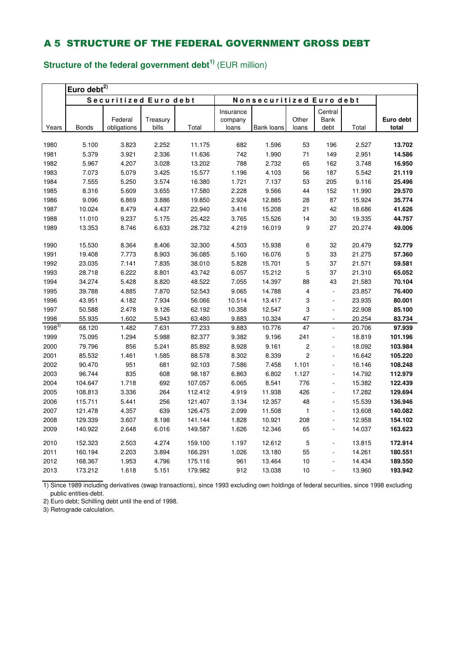# **Structure of the federal government debt1)** (EUR million)

|            | Euro debt $^{2)}$ |                       |                   |         |           |                          |                |                              |        |                    |  |  |
|------------|-------------------|-----------------------|-------------------|---------|-----------|--------------------------|----------------|------------------------------|--------|--------------------|--|--|
|            |                   | Securitized Euro debt |                   |         |           | Nonsecuritized Euro debt |                |                              |        |                    |  |  |
|            |                   |                       |                   |         | Insurance |                          |                | Central                      |        |                    |  |  |
|            |                   | Federal               | Treasury<br>bills | Total   | company   |                          | Other          | Bank                         | Total  | Euro debt<br>total |  |  |
| Years      | Bonds             | obligations           |                   |         | loans     | Bank loans               | loans          | debt                         |        |                    |  |  |
| 1980       | 5.100             | 3.823                 | 2.252             | 11.175  | 682       | 1.596                    | 53             | 196                          | 2.527  | 13.702             |  |  |
| 1981       | 5.379             | 3.921                 | 2.336             | 11.636  | 742       | 1.990                    | $71$           | 149                          | 2.951  | 14.586             |  |  |
| 1982       | 5.967             | 4.207                 | 3.028             | 13.202  | 788       | 2.732                    | 65             | 162                          | 3.748  | 16.950             |  |  |
| 1983       | 7.073             | 5.079                 | 3.425             | 15.577  | 1.196     | 4.103                    | 56             | 187                          | 5.542  | 21.119             |  |  |
| 1984       | 7.555             | 5.250                 | 3.574             | 16.380  | 1.721     | 7.137                    | 53             | 205                          | 9.116  | 25.496             |  |  |
| 1985       | 8.316             | 5.609                 | 3.655             | 17.580  | 2.228     | 9.566                    | 44             | 152                          | 11.990 | 29.570             |  |  |
| 1986       | 9.096             | 6.869                 | 3.886             | 19.850  | 2.924     | 12.885                   | 28             | 87                           | 15.924 | 35.774             |  |  |
| 1987       | 10.024            | 8.479                 | 4.437             | 22.940  | 3.416     | 15.208                   | 21             | 42                           | 18.686 | 41.626             |  |  |
| 1988       | 11.010            | 9.237                 | 5.175             | 25.422  | 3.765     | 15.526                   | 14             | 30                           | 19.335 | 44.757             |  |  |
| 1989       | 13.353            | 8.746                 | 6.633             | 28.732  | 4.219     | 16.019                   | 9              | 27                           | 20.274 | 49.006             |  |  |
|            |                   |                       |                   |         |           |                          |                |                              |        |                    |  |  |
| 1990       | 15.530            | 8.364                 | 8.406             | 32.300  | 4.503     | 15.938                   | 6              | 32                           | 20.479 | 52.779             |  |  |
| 1991       | 19.408            | 7.773                 | 8.903             | 36.085  | 5.160     | 16.076                   | 5              | 33                           | 21.275 | 57.360             |  |  |
| 1992       | 23.035            | 7.141                 | 7.835             | 38.010  | 5.828     | 15.701                   | 5              | 37                           | 21.571 | 59.581             |  |  |
| 1993       | 28.718            | 6.222                 | 8.801             | 43.742  | 6.057     | 15.212                   | 5              | 37                           | 21.310 | 65.052             |  |  |
| 1994       | 34.274            | 5.428                 | 8.820             | 48.522  | 7.055     | 14.397                   | 88             | 43                           | 21.583 | 70.104             |  |  |
| 1995       | 39.788            | 4.885                 | 7.870             | 52.543  | 9.065     | 14.788                   | 4              | $\blacksquare$               | 23.857 | 76.400             |  |  |
| 1996       | 43.951            | 4.182                 | 7.934             | 56.066  | 10.514    | 13.417                   | 3              | $\blacksquare$               | 23.935 | 80.001             |  |  |
| 1997       | 50.588            | 2.478                 | 9.126             | 62.192  | 10.358    | 12.547                   | 3              | ÷,                           | 22.908 | 85.100             |  |  |
| 1998       | 55.935            | 1.602                 | 5.943             | 63.480  | 9.883     | 10.324                   | 47             | $\blacksquare$               | 20.254 | 83.734             |  |  |
| $1998^{3}$ | 68.120            | 1.482                 | 7.631             | 77.233  | 9.883     | 10.776                   | 47             | $\Box$                       | 20.706 | 97.939             |  |  |
| 1999       | 75.095            | 1.294                 | 5.988             | 82.377  | 9.382     | 9.196                    | 241            | ÷,                           | 18.819 | 101.196            |  |  |
| 2000       | 79.796            | 856                   | 5.241             | 85.892  | 8.928     | 9.161                    | $\overline{c}$ |                              | 18.092 | 103.984            |  |  |
| 2001       | 85.532            | 1.461                 | 1.585             | 88.578  | 8.302     | 8.339                    | $\overline{c}$ |                              | 16.642 | 105.220            |  |  |
| 2002       | 90.470            | 951                   | 681               | 92.103  | 7.586     | 7.458                    | 1.101          | $\overline{\phantom{a}}$     | 16.146 | 108.248            |  |  |
| 2003       | 96.744            | 835                   | 608               | 98.187  | 6.863     | 6.802                    | 1.127          | ÷,                           | 14.792 | 112.979            |  |  |
| 2004       | 104.647           | 1.718                 | 692               | 107.057 | 6.065     | 8.541                    | 776            |                              | 15.382 | 122.439            |  |  |
| 2005       | 108.813           | 3.336                 | 264               | 112.412 | 4.919     | 11.938                   | 426            | ÷,                           | 17.282 | 129.694            |  |  |
| 2006       | 115.711           | 5.441                 | 256               | 121.407 | 3.134     | 12.357                   | 48             | $\overline{\phantom{a}}$     | 15.539 | 136.946            |  |  |
| 2007       | 121.478           | 4.357                 | 639               | 126.475 | 2.099     | 11.508                   | $\mathbf{1}$   | ÷,                           | 13.608 | 140.082            |  |  |
| 2008       | 129.339           | 3.607                 | 8.198             | 141.144 | 1.828     | 10.921                   | 208            | ٠                            | 12.958 | 154.102            |  |  |
| 2009       | 140.922           | 2.648                 | 6.016             | 149.587 | 1.626     | 12.346                   | 65             | $\overline{\phantom{a}}$     | 14.037 | 163.623            |  |  |
| 2010       | 152.323           | 2.503                 | 4.274             | 159.100 | 1.197     | 12.612                   | 5              |                              | 13.815 | 172.914            |  |  |
| 2011       | 160.194           | 2.203                 | 3.894             | 166.291 | 1.026     | 13.180                   | 55             |                              | 14.261 | 180.551            |  |  |
| 2012       | 168.367           | 1.953                 | 4.796             | 175.116 | 961       | 13.464                   | 10             |                              | 14.434 | 189.550            |  |  |
| 2013       | 173.212           | 1.618                 | 5.151             | 179.982 | 912       | 13.038                   | 10             | $\qquad \qquad \blacksquare$ | 13.960 | 193.942            |  |  |
|            |                   |                       |                   |         |           |                          |                |                              |        |                    |  |  |

1) Since 1989 including derivatives (swap transactions), since 1993 excluding own holdings of federal securities, since 1998 excluding public entities-debt.

2) Euro debt; Schilling debt until the end of 1998.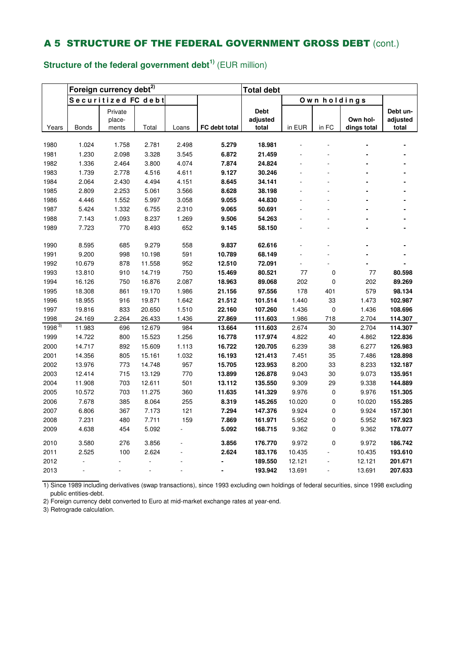# **Structure of the federal government debt1)** (EUR million)

|            |              | Foreign currency debt <sup>2)</sup> |        |       | <b>Total debt</b> |             |        |              |             |          |
|------------|--------------|-------------------------------------|--------|-------|-------------------|-------------|--------|--------------|-------------|----------|
|            |              | Securitized FC debt                 |        |       |                   |             |        | Own holdings |             |          |
|            |              | Private                             |        |       |                   | <b>Debt</b> |        |              |             | Debt un- |
|            |              | place-                              |        |       |                   | adjusted    |        |              | Own hol-    | adjusted |
| Years      | <b>Bonds</b> | ments                               | Total  | Loans | FC debt total     | total       | in EUR | in FC        | dings total | total    |
| 1980       | 1.024        | 1.758                               | 2.781  | 2.498 | 5.279             | 18.981      |        |              |             |          |
| 1981       | 1.230        | 2.098                               | 3.328  | 3.545 | 6.872             | 21.459      |        |              |             |          |
| 1982       | 1.336        | 2.464                               | 3.800  | 4.074 | 7.874             | 24.824      |        |              |             |          |
| 1983       | 1.739        | 2.778                               | 4.516  | 4.611 | 9.127             | 30.246      |        |              |             |          |
| 1984       | 2.064        | 2.430                               | 4.494  | 4.151 | 8.645             | 34.141      |        |              |             |          |
| 1985       | 2.809        | 2.253                               | 5.061  | 3.566 | 8.628             | 38.198      |        |              |             |          |
| 1986       | 4.446        | 1.552                               | 5.997  | 3.058 | 9.055             | 44.830      |        |              |             |          |
| 1987       | 5.424        | 1.332                               | 6.755  | 2.310 | 9.065             | 50.691      |        |              |             |          |
| 1988       | 7.143        | 1.093                               | 8.237  | 1.269 | 9.506             | 54.263      |        |              |             |          |
| 1989       | 7.723        | 770                                 | 8.493  | 652   | 9.145             | 58.150      |        |              |             |          |
|            |              |                                     |        |       |                   |             |        |              |             |          |
| 1990       | 8.595        | 685                                 | 9.279  | 558   | 9.837             | 62.616      |        |              |             |          |
| 1991       | 9.200        | 998                                 | 10.198 | 591   | 10.789            | 68.149      |        |              |             |          |
| 1992       | 10.679       | 878                                 | 11.558 | 952   | 12.510            | 72.091      | ä,     |              |             |          |
| 1993       | 13.810       | 910                                 | 14.719 | 750   | 15.469            | 80.521      | 77     | 0            | 77          | 80.598   |
| 1994       | 16.126       | 750                                 | 16.876 | 2.087 | 18.963            | 89.068      | 202    | 0            | 202         | 89.269   |
| 1995       | 18.308       | 861                                 | 19.170 | 1.986 | 21.156            | 97.556      | 178    | 401          | 579         | 98.134   |
| 1996       | 18.955       | 916                                 | 19.871 | 1.642 | 21.512            | 101.514     | 1.440  | 33           | 1.473       | 102.987  |
| 1997       | 19.816       | 833                                 | 20.650 | 1.510 | 22.160            | 107.260     | 1.436  | 0            | 1.436       | 108.696  |
| 1998       | 24.169       | 2.264                               | 26.433 | 1.436 | 27.869            | 111.603     | 1.986  | 718          | 2.704       | 114.307  |
| $1998^{3}$ | 11.983       | 696                                 | 12.679 | 984   | 13.664            | 111.603     | 2.674  | 30           | 2.704       | 114.307  |
| 1999       | 14.722       | 800                                 | 15.523 | 1.256 | 16.778            | 117.974     | 4.822  | 40           | 4.862       | 122.836  |
| 2000       | 14.717       | 892                                 | 15.609 | 1.113 | 16.722            | 120.705     | 6.239  | 38           | 6.277       | 126.983  |
| 2001       | 14.356       | 805                                 | 15.161 | 1.032 | 16.193            | 121.413     | 7.451  | 35           | 7.486       | 128.898  |
| 2002       | 13.976       | 773                                 | 14.748 | 957   | 15.705            | 123.953     | 8.200  | 33           | 8.233       | 132.187  |
| 2003       | 12.414       | 715                                 | 13.129 | 770   | 13.899            | 126.878     | 9.043  | 30           | 9.073       | 135.951  |
| 2004       | 11.908       | 703                                 | 12.611 | 501   | 13.112            | 135.550     | 9.309  | 29           | 9.338       | 144.889  |
| 2005       | 10.572       | 703                                 | 11.275 | 360   | 11.635            | 141.329     | 9.976  | 0            | 9.976       | 151.305  |
| 2006       | 7.678        | 385                                 | 8.064  | 255   | 8.319             | 145.265     | 10.020 | 0            | 10.020      | 155.285  |
| 2007       | 6.806        | 367                                 | 7.173  | 121   | 7.294             | 147.376     | 9.924  | 0            | 9.924       | 157.301  |
| 2008       | 7.231        | 480                                 | 7.711  | 159   | 7.869             | 161.971     | 5.952  | 0            | 5.952       | 167.923  |
| 2009       | 4.638        | 454                                 | 5.092  |       | 5.092             | 168.715     | 9.362  | 0            | 9.362       | 178.077  |
| 2010       | 3.580        | 276                                 | 3.856  |       | 3.856             | 176.770     | 9.972  | 0            | 9.972       | 186.742  |
| 2011       | 2.525        | 100                                 | 2.624  |       | 2.624             | 183.176     | 10.435 |              | 10.435      | 193.610  |
| 2012       |              |                                     |        |       |                   | 189.550     | 12.121 |              | 12.121      | 201.671  |
| 2013       | ÷,           |                                     | ÷,     |       |                   | 193.942     | 13.691 | ÷,           | 13.691      | 207.633  |
|            |              |                                     |        |       |                   |             |        |              |             |          |

1) Since 1989 including derivatives (swap transactions), since 1993 excluding own holdings of federal securities, since 1998 excluding public entities-debt.

2) Foreign currency debt converted to Euro at mid-market exchange rates at year-end.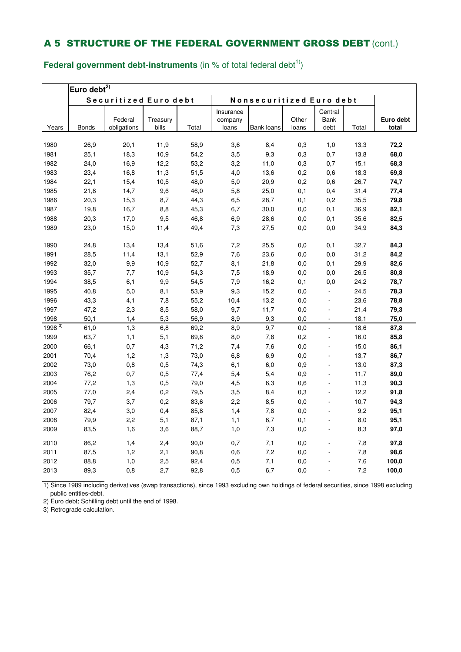**Federal government debt-instruments** (in % of total federal debt<sup>1)</sup>)

|         | Euro debt $^{2)}$ |                        |                   |       |                               |                          |                |                          |       |                    |  |
|---------|-------------------|------------------------|-------------------|-------|-------------------------------|--------------------------|----------------|--------------------------|-------|--------------------|--|
|         |                   | Securitized Euro debt  |                   |       |                               | Nonsecuritized Euro debt |                |                          |       |                    |  |
| Years   | <b>Bonds</b>      | Federal<br>obligations | Treasury<br>bills | Total | Insurance<br>company<br>loans | Bank loans               | Other<br>loans | Central<br>Bank<br>debt  | Total | Euro debt<br>total |  |
|         |                   |                        |                   |       |                               |                          |                |                          |       |                    |  |
| 1980    | 26,9              | 20,1                   | 11,9              | 58,9  | 3,6                           | 8,4                      | 0,3            | 1,0                      | 13,3  | 72,2               |  |
| 1981    | 25,1              | 18,3                   | 10,9              | 54,2  | 3,5                           | 9,3                      | 0,3            | 0,7                      | 13,8  | 68,0               |  |
| 1982    | 24,0              | 16,9                   | 12,2              | 53,2  | 3,2                           | 11,0                     | 0,3            | 0,7                      | 15,1  | 68,3               |  |
| 1983    | 23,4              | 16,8                   | 11,3              | 51,5  | 4,0                           | 13,6                     | 0,2            | 0,6                      | 18,3  | 69,8               |  |
| 1984    | 22,1              | 15,4                   | 10,5              | 48,0  | 5,0                           | 20,9                     | 0,2            | 0,6                      | 26,7  | 74,7               |  |
| 1985    | 21,8              | 14,7                   | 9,6               | 46,0  | 5,8                           | 25,0                     | 0,1            | 0,4                      | 31,4  | 77,4               |  |
| 1986    | 20,3              | 15,3                   | 8,7               | 44,3  | 6,5                           | 28,7                     | 0,1            | 0,2                      | 35,5  | 79,8               |  |
| 1987    | 19,8              | 16,7                   | 8,8               | 45,3  | 6,7                           | 30,0                     | 0,0            | 0,1                      | 36,9  | 82,1               |  |
| 1988    | 20,3              | 17,0                   | 9,5               | 46,8  | 6,9                           | 28,6                     | 0,0            | 0,1                      | 35,6  | 82,5               |  |
| 1989    | 23,0              | 15,0                   | 11,4              | 49,4  | 7,3                           | 27,5                     | 0,0            | 0,0                      | 34,9  | 84,3               |  |
| 1990    | 24,8              | 13,4                   | 13,4              | 51,6  | 7,2                           | 25,5                     | 0,0            | 0,1                      | 32,7  | 84,3               |  |
| 1991    | 28,5              | 11,4                   | 13,1              | 52,9  | 7,6                           | 23,6                     | 0,0            | 0,0                      | 31,2  | 84,2               |  |
| 1992    | 32,0              | 9,9                    | 10,9              | 52,7  | 8,1                           | 21,8                     | 0,0            | 0,1                      | 29,9  | 82,6               |  |
| 1993    | 35,7              | 7,7                    | 10,9              | 54,3  | 7,5                           | 18,9                     | 0,0            | 0,0                      | 26,5  | 80,8               |  |
| 1994    | 38,5              | 6,1                    | 9,9               | 54,5  | 7,9                           | 16,2                     | 0, 1           | 0,0                      | 24,2  | 78,7               |  |
| 1995    | 40,8              | 5,0                    | 8,1               | 53,9  | 9,3                           | 15,2                     | 0,0            | ä,                       | 24,5  | 78,3               |  |
| 1996    | 43,3              | 4,1                    | 7,8               | 55,2  | 10,4                          | 13,2                     | 0,0            | $\blacksquare$           | 23,6  | 78,8               |  |
| 1997    | 47,2              | 2,3                    | 8,5               | 58,0  | 9,7                           | 11,7                     | 0,0            | ÷,                       | 21,4  | 79,3               |  |
| 1998    | 50,1              | 1,4                    | 5,3               | 56,9  | 8,9                           | 9,3                      | 0,0            | $\overline{\phantom{a}}$ | 18,1  | 75,0               |  |
| 1998 3) | 61,0              | 1,3                    | 6,8               | 69,2  | 8,9                           | 9,7                      | 0,0            | L.                       | 18,6  | 87,8               |  |
| 1999    | 63,7              | 1,1                    | 5,1               | 69,8  | 8,0                           | 7,8                      | 0,2            | ÷,                       | 16,0  | 85,8               |  |
| 2000    | 66,1              | 0,7                    | 4,3               | 71,2  | 7,4                           | 7,6                      | 0,0            |                          | 15,0  | 86,1               |  |
| 2001    | 70,4              | 1,2                    | 1,3               | 73,0  | 6,8                           | 6,9                      | 0,0            | ÷,                       | 13,7  | 86,7               |  |
| 2002    | 73,0              | 0,8                    | 0,5               | 74,3  | 6,1                           | 6,0                      | 0,9            | L.                       | 13,0  | 87,3               |  |
| 2003    | 76,2              | 0,7                    | 0,5               | 77,4  | 5,4                           | 5,4                      | 0,9            | $\overline{a}$           | 11,7  | 89,0               |  |
| 2004    | 77,2              | 1,3                    | 0,5               | 79,0  | 4,5                           | 6,3                      | 0,6            |                          | 11,3  | 90,3               |  |
| 2005    | 77,0              | 2,4                    | 0,2               | 79,5  | 3,5                           | 8,4                      | 0,3            | ÷,                       | 12,2  | 91,8               |  |
| 2006    | 79,7              | 3,7                    | 0,2               | 83,6  | 2,2                           | 8,5                      | 0,0            | ÷,                       | 10,7  | 94,3               |  |
| 2007    | 82,4              | 3,0                    | 0,4               | 85,8  | 1,4                           | 7,8                      | 0,0            |                          | 9,2   | 95,1               |  |
| 2008    | 79,9              | 2,2                    | 5,1               | 87,1  | 1,1                           | 6,7                      | 0,1            |                          | 8,0   | 95,1               |  |
| 2009    | 83,5              | 1,6                    | 3,6               | 88,7  | 1,0                           | 7,3                      | 0,0            | L.                       | 8,3   | 97,0               |  |
| 2010    | 86,2              | 1,4                    | 2,4               | 90,0  | 0,7                           | 7,1                      | 0,0            | ÷,                       | 7,8   | 97,8               |  |
| 2011    | 87,5              | 1,2                    | 2,1               | 90,8  | 0,6                           | 7,2                      | 0,0            |                          | 7,8   | 98,6               |  |
| 2012    | 88,8              | 1,0                    | 2,5               | 92,4  | 0,5                           | 7,1                      | 0,0            |                          | 7,6   | 100,0              |  |
| 2013    | 89,3              | 0,8                    | 2,7               | 92,8  | 0,5                           | 6,7                      | 0,0            |                          | 7,2   | 100,0              |  |

1) Since 1989 including derivatives (swap transactions), since 1993 excluding own holdings of federal securities, since 1998 excluding public entities-debt.

2) Euro debt; Schilling debt until the end of 1998.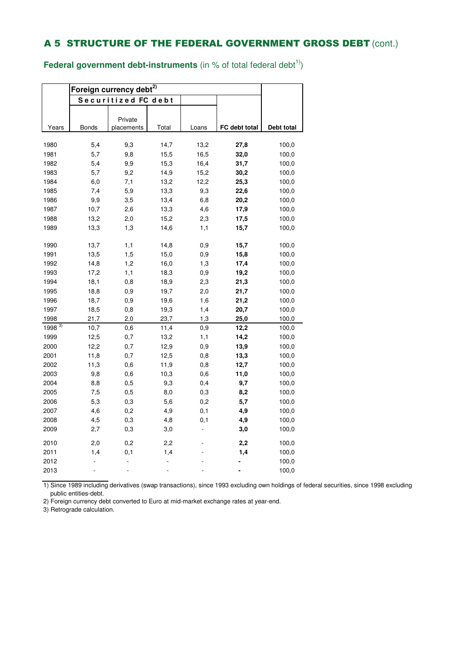**Federal government debt-instruments** (in % of total federal debt<sup>1)</sup>)

|              | Foreign currency debt <sup>2)</sup> |                     |              |             |               |                |
|--------------|-------------------------------------|---------------------|--------------|-------------|---------------|----------------|
|              |                                     | Securitized FC debt |              |             |               |                |
|              |                                     |                     |              |             |               |                |
|              |                                     | Private             |              |             |               |                |
| Years        | <b>Bonds</b>                        | placements          | Total        | Loans       | FC debt total | Debt total     |
|              |                                     |                     |              |             |               |                |
| 1980         | 5,4                                 | 9,3                 | 14,7         | 13,2        | 27,8          | 100,0          |
| 1981         | 5,7                                 | 9,8                 | 15,5         | 16,5        | 32,0          | 100,0          |
| 1982         | 5,4                                 | 9,9                 | 15,3         | 16,4        | 31,7          | 100,0          |
| 1983         | 5,7                                 | 9,2                 | 14,9         | 15,2        | 30,2          | 100,0<br>100,0 |
| 1984         | 6,0                                 | 7,1<br>5,9          | 13,2<br>13,3 | 12,2<br>9,3 | 25,3<br>22,6  |                |
| 1985         | 7,4<br>9,9                          | 3,5                 | 13,4         | 6,8         |               | 100,0          |
| 1986<br>1987 |                                     |                     |              |             | 20,2          | 100,0<br>100,0 |
|              | 10,7                                | 2,6                 | 13,3         | 4,6         | 17,9          |                |
| 1988         | 13,2                                | 2,0                 | 15,2         | 2,3         | 17,5          | 100,0          |
| 1989         | 13,3                                | 1,3                 | 14,6         | 1,1         | 15,7          | 100,0          |
| 1990         | 13,7                                | 1,1                 | 14,8         | 0,9         | 15,7          | 100,0          |
| 1991         | 13,5                                | 1,5                 | 15,0         | 0,9         | 15,8          | 100,0          |
| 1992         | 14,8                                | 1,2                 | 16,0         | 1,3         | 17,4          | 100,0          |
| 1993         | 17,2                                | 1,1                 | 18,3         | 0,9         | 19,2          | 100,0          |
| 1994         | 18,1                                | 0,8                 | 18,9         | 2,3         | 21,3          | 100,0          |
| 1995         | 18,8                                | 0,9                 | 19,7         | 2,0         | 21,7          | 100,0          |
| 1996         | 18,7                                | 0,9                 | 19,6         | 1,6         | 21,2          | 100,0          |
| 1997         | 18,5                                | 0,8                 | 19,3         | 1,4         | 20,7          | 100,0          |
| 1998         | 21,7                                | 2,0                 | 23,7         | 1,3         | 25,0          | 100,0          |
| $1998^{3}$   | 10,7                                | 0,6                 | 11,4         | 0,9         | 12,2          | 100,0          |
| 1999         | 12,5                                | 0,7                 | 13,2         | 1,1         | 14,2          | 100,0          |
| 2000         | 12,2                                | 0,7                 | 12,9         | 0,9         | 13,9          | 100,0          |
| 2001         | 11,8                                | 0,7                 | 12,5         | 0,8         | 13,3          | 100,0          |
| 2002         | 11,3                                | $_{0,6}$            | 11,9         | 0,8         | 12,7          | 100,0          |
| 2003         | 9,8                                 | 0,6                 | 10,3         | 0,6         | 11,0          | 100,0          |
| 2004         | 8,8                                 | 0,5                 | 9,3          | 0,4         | 9,7           | 100,0          |
| 2005         | 7,5                                 | 0,5                 | 8,0          | 0,3         | 8,2           | 100,0          |
| 2006         | 5,3                                 | 0,3                 | 5,6          | 0,2         | 5,7           | 100,0          |
| 2007         | 4,6                                 | 0,2                 | 4,9          | 0,1         | 4,9           | 100,0          |
| 2008         | 4,5                                 | 0,3                 | 4,8          | 0,1         | 4,9           | 100,0          |
| 2009         | 2,7                                 | 0,3                 | 3,0          |             | 3,0           | 100,0          |
| 2010         | 2,0                                 | 0,2                 | 2,2          |             | 2,2           | 100,0          |
| 2011         | 1,4                                 | 0,1                 | 1,4          |             | 1,4           | 100,0          |
| 2012         |                                     |                     |              |             |               | 100,0          |
| 2013         |                                     |                     |              |             |               | 100,0          |
|              |                                     |                     |              |             |               |                |

1) Since 1989 including derivatives (swap transactions), since 1993 excluding own holdings of federal securities, since 1998 excluding public entities-debt.

2) Foreign currency debt converted to Euro at mid-market exchange rates at year-end.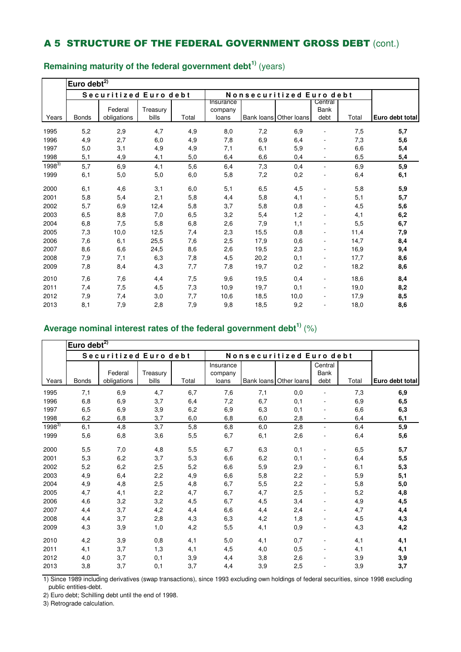|            | Euro debt <sup>2)</sup> |                       |          |       |                      |      |                          |                 |       |                 |  |
|------------|-------------------------|-----------------------|----------|-------|----------------------|------|--------------------------|-----------------|-------|-----------------|--|
|            |                         | Securitized Euro debt |          |       |                      |      | Nonsecuritized Euro debt |                 |       |                 |  |
|            |                         | Federal               | Treasury |       | Insurance<br>company |      |                          | Central<br>Bank |       |                 |  |
| Years      | <b>Bonds</b>            | obligations           | bills    | Total | loans                |      | Bank loans Other loans   | debt            | Total | Euro debt total |  |
| 1995       | 5,2                     | 2,9                   | 4,7      | 4,9   | 8,0                  | 7,2  | 6,9                      |                 | 7,5   | 5,7             |  |
| 1996       | 4,9                     | 2,7                   | 6,0      | 4,9   | 7,8                  | 6,9  | 6,4                      |                 | 7,3   | 5,6             |  |
| 1997       | 5,0                     | 3,1                   | 4,9      | 4,9   | 7,1                  | 6,1  | 5,9                      |                 | 6,6   | 5,4             |  |
| 1998       | 5,1                     | 4,9                   | 4,1      | 5,0   | 6,4                  | 6,6  | 0,4                      |                 | 6,5   | 5,4             |  |
| $1998^{3}$ | 5,7                     | 6,9                   | 4,1      | 5,6   | 6,4                  | 7,3  | 0,4                      |                 | 6,9   | 5,9             |  |
| 1999       | 6,1                     | 5,0                   | 5,0      | 6,0   | 5,8                  | 7,2  | 0,2                      |                 | 6,4   | 6,1             |  |
| 2000       | 6,1                     | 4,6                   | 3,1      | 6,0   | 5,1                  | 6,5  | 4,5                      |                 | 5,8   | 5,9             |  |
| 2001       | 5,8                     | 5,4                   | 2,1      | 5,8   | 4,4                  | 5,8  | 4,1                      |                 | 5,1   | 5,7             |  |
| 2002       | 5,7                     | 6,9                   | 12,4     | 5,8   | 3,7                  | 5,8  | 0,8                      |                 | 4,5   | 5,6             |  |
| 2003       | 6,5                     | 8,8                   | 7,0      | 6,5   | 3,2                  | 5,4  | 1,2                      |                 | 4,1   | 6,2             |  |
| 2004       | 6,8                     | 7,5                   | 5,8      | 6,8   | 2,6                  | 7,9  | 1,1                      |                 | 5,5   | 6,7             |  |
| 2005       | 7,3                     | 10,0                  | 12,5     | 7,4   | 2,3                  | 15,5 | 0,8                      |                 | 11,4  | 7,9             |  |
| 2006       | 7,6                     | 6,1                   | 25,5     | 7,6   | 2,5                  | 17,9 | 0,6                      |                 | 14,7  | 8,4             |  |
| 2007       | 8,6                     | 6,6                   | 24,5     | 8,6   | 2,6                  | 19,5 | 2,3                      |                 | 16,9  | 9,4             |  |
| 2008       | 7,9                     | 7,1                   | 6,3      | 7,8   | 4,5                  | 20,2 | 0,1                      |                 | 17,7  | 8,6             |  |
| 2009       | 7,8                     | 8,4                   | 4,3      | 7,7   | 7,8                  | 19,7 | 0,2                      |                 | 18,2  | 8,6             |  |
| 2010       | 7,6                     | 7,6                   | 4,4      | 7,5   | 9,6                  | 19,5 | 0,4                      |                 | 18,6  | 8,4             |  |
| 2011       | 7,4                     | 7,5                   | 4,5      | 7,3   | 10,9                 | 19,7 | 0,1                      |                 | 19,0  | 8,2             |  |
| 2012       | 7,9                     | 7,4                   | 3,0      | 7,7   | 10,6                 | 18,5 | 10,0                     |                 | 17,9  | 8,5             |  |
| 2013       | 8,1                     | 7,9                   | 2,8      | 7,9   | 9,8                  | 18,5 | 9,2                      |                 | 18,0  | 8,6             |  |

# **Remaining maturity of the federal government debt1)** (years)

## **Average nominal interest rates of the federal government debt1)** (%)

|            | Euro debt $^{27}$ |                        |                   |       |                               |                          |                        |                         |       |                 |
|------------|-------------------|------------------------|-------------------|-------|-------------------------------|--------------------------|------------------------|-------------------------|-------|-----------------|
|            |                   | Securitized Euro debt  |                   |       |                               | Nonsecuritized Euro debt |                        |                         |       |                 |
| Years      | <b>Bonds</b>      | Federal<br>obligations | Treasury<br>bills | Total | Insurance<br>company<br>loans |                          | Bank loans Other loans | Central<br>Bank<br>debt | Total | Euro debt total |
| 1995       | 7,1               | 6,9                    | 4,7               | 6,7   | 7,6                           | 7,1                      | 0,0                    |                         | 7,3   | 6,9             |
| 1996       | 6,8               | 6,9                    | 3,7               | 6,4   | 7,2                           | 6,7                      | 0,1                    |                         | 6,9   | 6,5             |
| 1997       | 6,5               | 6,9                    | 3,9               | 6,2   | 6,9                           | 6,3                      | 0,1                    |                         | 6,6   | 6,3             |
| 1998       | 6,2               | 6,8                    | 3,7               | 6,0   | 6,8                           | 6,0                      | 2,8                    |                         | 6,4   | 6,1             |
| $1998^{3}$ | 6,1               | 4,8                    | 3,7               | 5,8   | 6,8                           | 6,0                      | 2,8                    | L.                      | 6,4   | 5,9             |
| 1999       | 5,6               | 6,8                    | 3,6               | 5,5   | 6,7                           | 6,1                      | 2,6                    |                         | 6,4   | 5,6             |
| 2000       | 5,5               | 7,0                    | 4,8               | 5,5   | 6,7                           | 6,3                      | 0,1                    |                         | 6,5   | 5,7             |
| 2001       | 5,3               | 6,2                    | 3,7               | 5,3   | 6,6                           | 6,2                      | 0,1                    |                         | 6,4   | 5,5             |
| 2002       | 5,2               | 6,2                    | 2,5               | 5,2   | 6,6                           | 5,9                      | 2,9                    |                         | 6,1   | 5,3             |
| 2003       | 4,9               | 6,4                    | 2,2               | 4,9   | 6,6                           | 5,8                      | 2,2                    |                         | 5,9   | 5,1             |
| 2004       | 4,9               | 4,8                    | 2,5               | 4,8   | 6,7                           | 5,5                      | 2,2                    |                         | 5,8   | 5,0             |
| 2005       | 4,7               | 4,1                    | 2,2               | 4,7   | 6,7                           | 4,7                      | 2,5                    |                         | 5,2   | 4,8             |
| 2006       | 4,6               | 3,2                    | 3,2               | 4,5   | 6,7                           | 4,5                      | 3,4                    |                         | 4,9   | 4,5             |
| 2007       | 4,4               | 3,7                    | 4,2               | 4,4   | 6,6                           | 4,4                      | 2,4                    |                         | 4,7   | 4,4             |
| 2008       | 4,4               | 3,7                    | 2,8               | 4,3   | 6,3                           | 4,2                      | 1,8                    |                         | 4,5   | 4,3             |
| 2009       | 4,3               | 3,9                    | 1,0               | 4,2   | 5,5                           | 4,1                      | 0,9                    |                         | 4,3   | 4,2             |
| 2010       | 4,2               | 3,9                    | 0,8               | 4,1   | 5,0                           | 4,1                      | 0,7                    |                         | 4,1   | 4,1             |
| 2011       | 4,1               | 3,7                    | 1,3               | 4,1   | 4,5                           | 4,0                      | 0,5                    |                         | 4,1   | 4,1             |
| 2012       | 4,0               | 3,7                    | 0,1               | 3,9   | 4,4                           | 3,8                      | 2,6                    |                         | 3,9   | 3,9             |
| 2013       | 3,8               | 3,7                    | 0,1               | 3,7   | 4,4                           | 3,9                      | 2,5                    |                         | 3,9   | 3,7             |

1) Since 1989 including derivatives (swap transactions), since 1993 excluding own holdings of federal securities, since 1998 excluding public entities-debt.

2) Euro debt; Schilling debt until the end of 1998.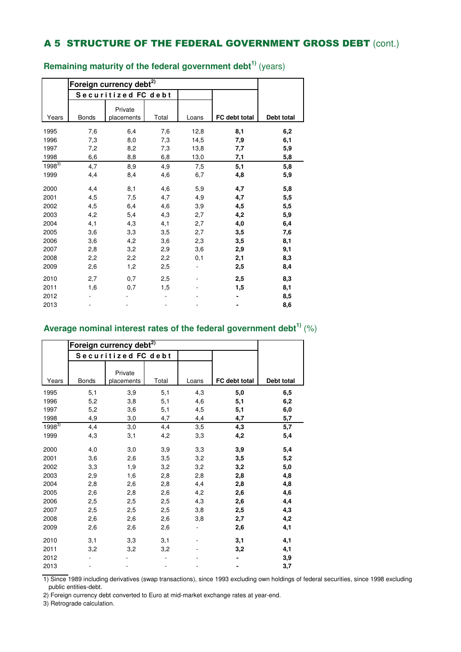|            |              | Foreign currency debt <sup>2)</sup><br>Securitized FC debt |       |       |               |            |
|------------|--------------|------------------------------------------------------------|-------|-------|---------------|------------|
| Years      | <b>Bonds</b> | Private<br>placements                                      | Total | Loans | FC debt total | Debt total |
|            |              |                                                            |       |       |               |            |
| 1995       | 7,6          | 6,4                                                        | 7,6   | 12,8  | 8,1           | 6,2        |
| 1996       | 7,3          | 8,0                                                        | 7,3   | 14,5  | 7,9           | 6,1        |
| 1997       | 7,2          | 8,2                                                        | 7,3   | 13,8  | 7,7           | 5,9        |
| 1998       | 6,6          | 8,8                                                        | 6,8   | 13,0  | 7,1           | 5,8        |
| $1998^{3}$ | 4,7          | 8,9                                                        | 4,9   | 7,5   | 5,1           | 5,8        |
| 1999       | 4,4          | 8,4                                                        | 4,6   | 6,7   | 4,8           | 5,9        |
| 2000       | 4,4          | 8,1                                                        | 4,6   | 5,9   | 4,7           | 5,8        |
| 2001       | 4,5          | 7,5                                                        | 4,7   | 4,9   | 4,7           | 5,5        |
| 2002       | 4,5          | 6,4                                                        | 4,6   | 3,9   | 4,5           | 5,5        |
| 2003       | 4,2          | 5,4                                                        | 4,3   | 2,7   | 4,2           | 5,9        |
| 2004       | 4,1          | 4,3                                                        | 4,1   | 2,7   | 4,0           | 6,4        |
| 2005       | 3,6          | 3,3                                                        | 3,5   | 2,7   | 3,5           | 7,6        |
| 2006       | 3,6          | 4,2                                                        | 3,6   | 2,3   | 3,5           | 8,1        |
| 2007       | 2,8          | 3,2                                                        | 2,9   | 3,6   | 2,9           | 9,1        |
| 2008       | 2,2          | 2,2                                                        | 2,2   | 0,1   | 2,1           | 8,3        |
| 2009       | 2,6          | 1,2                                                        | 2,5   |       | 2,5           | 8,4        |
| 2010       | 2,7          | 0,7                                                        | 2,5   |       | 2,5           | 8,3        |
| 2011       | 1,6          | 0,7                                                        | 1,5   |       | 1,5           | 8,1        |
| 2012       |              |                                                            |       |       |               | 8,5        |
| 2013       |              |                                                            |       |       |               | 8,6        |

**Remaining maturity of the federal government debt1)** (years)

## **Average nominal interest rates of the federal government debt1)** (%)

|            |              | Securitized FC debt   |       |       |               |            |
|------------|--------------|-----------------------|-------|-------|---------------|------------|
| Years      | <b>Bonds</b> | Private<br>placements | Total | Loans | FC debt total | Debt total |
| 1995       | 5,1          | 3,9                   | 5,1   | 4,3   | 5,0           | 6,5        |
| 1996       | 5,2          | 3,8                   | 5,1   | 4,6   | 5,1           | 6,2        |
| 1997       | 5,2          | 3,6                   | 5,1   | 4,5   | 5,1           | 6,0        |
| 1998       | 4,9          | 3,0                   | 4,7   | 4,4   | 4,7           | 5,7        |
| $1998^{3}$ | 4,4          | 3,0                   | 4,4   | 3,5   | 4,3           | 5,7        |
| 1999       | 4,3          | 3,1                   | 4,2   | 3,3   | 4,2           | 5,4        |
| 2000       | 4,0          | 3,0                   | 3,9   | 3,3   | 3,9           | 5,4        |
| 2001       | 3,6          | 2,6                   | 3,5   | 3,2   | 3,5           | 5,2        |
| 2002       | 3,3          | 1,9                   | 3,2   | 3,2   | 3,2           | 5,0        |
| 2003       | 2,9          | 1,6                   | 2,8   | 2,8   | 2,8           | 4,8        |
| 2004       | 2,8          | 2,6                   | 2,8   | 4,4   | 2,8           | 4,8        |
| 2005       | 2,6          | 2,8                   | 2,6   | 4,2   | 2,6           | 4,6        |
| 2006       | 2,5          | 2,5                   | 2,5   | 4,3   | 2,6           | 4,4        |
| 2007       | 2,5          | 2,5                   | 2,5   | 3,8   | 2,5           | 4,3        |
| 2008       | 2,6          | 2,6                   | 2,6   | 3,8   | 2,7           | 4,2        |
| 2009       | 2,6          | 2,6                   | 2,6   |       | 2,6           | 4,1        |
| 2010       | 3,1          | 3,3                   | 3,1   |       | 3,1           | 4,1        |
| 2011       | 3,2          | 3,2                   | 3,2   |       | 3,2           | 4,1        |
| 2012       |              |                       |       |       |               | 3,9        |
| 2013       |              |                       |       |       |               | 3,7        |

1) Since 1989 including derivatives (swap transactions), since 1993 excluding own holdings of federal securities, since 1998 excluding public entities-debt.

2) Foreign currency debt converted to Euro at mid-market exchange rates at year-end.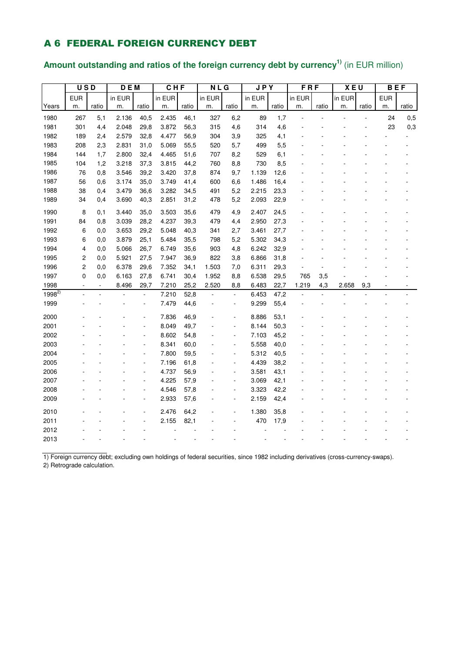### A 6 FEDERAL FOREIGN CURRENCY DEBT

# **Amount outstanding and ratios of the foreign currency debt by currency1)** (in EUR million)

|            | <b>USD</b>     |                | D E M  |                          | CHF    |       | N L G  |                | <b>JPY</b> |       | <b>FRF</b> |       | <b>XEU</b> |       | <b>BEF</b> |       |
|------------|----------------|----------------|--------|--------------------------|--------|-------|--------|----------------|------------|-------|------------|-------|------------|-------|------------|-------|
|            | <b>EUR</b>     |                | in EUR |                          | in EUR |       | in EUR |                | in EUR     |       | in EUR     |       | in EUR     |       | <b>EUR</b> |       |
| Years      | m.             | ratio          | m.     | ratio                    | m.     | ratio | m.     | ratio          | m.         | ratio | m.         | ratio | m.         | ratio | m.         | ratio |
| 1980       | 267            | 5,1            | 2.136  | 40,5                     | 2.435  | 46,1  | 327    | 6,2            | 89         | 1,7   |            |       |            |       | 24         | 0,5   |
| 1981       | 301            | 4,4            | 2.048  | 29,8                     | 3.872  | 56,3  | 315    | 4,6            | 314        | 4,6   |            |       |            |       | 23         | 0,3   |
| 1982       | 189            | 2,4            | 2.579  | 32,8                     | 4.477  | 56,9  | 304    | 3,9            | 325        | 4,1   |            |       |            |       |            |       |
| 1983       | 208            | 2,3            | 2.831  | 31,0                     | 5.069  | 55,5  | 520    | 5,7            | 499        | 5,5   |            |       |            |       |            |       |
| 1984       | 144            | 1,7            | 2.800  | 32,4                     | 4.465  | 51,6  | 707    | 8,2            | 529        | 6,1   |            |       |            |       |            |       |
| 1985       | 104            | 1,2            | 3.218  | 37,3                     | 3.815  | 44,2  | 760    | 8,8            | 730        | 8,5   |            |       |            |       |            |       |
| 1986       | 76             | 0,8            | 3.546  | 39,2                     | 3.420  | 37,8  | 874    | 9,7            | 1.139      | 12,6  |            |       |            |       |            |       |
| 1987       | 56             | 0,6            | 3.174  | 35,0                     | 3.749  | 41,4  | 600    | 6,6            | 1.486      | 16,4  |            |       |            |       |            |       |
| 1988       | 38             | 0,4            | 3.479  | 36,6                     | 3.282  | 34,5  | 491    | 5,2            | 2.215      | 23,3  |            |       |            |       |            |       |
| 1989       | 34             | 0,4            | 3.690  | 40,3                     | 2.851  | 31,2  | 478    | 5,2            | 2.093      | 22,9  |            |       |            |       |            |       |
| 1990       | 8              | 0,1            | 3.440  | 35,0                     | 3.503  | 35,6  | 479    | 4,9            | 2.407      | 24,5  |            |       |            |       |            |       |
| 1991       | 84             | 0,8            | 3.039  | 28,2                     | 4.237  | 39,3  | 479    | 4,4            | 2.950      | 27,3  |            |       |            |       |            |       |
| 1992       | 6              | 0,0            | 3.653  | 29,2                     | 5.048  | 40,3  | 341    | 2,7            | 3.461      | 27,7  |            |       |            |       |            |       |
| 1993       | 6              | 0,0            | 3.879  | 25,1                     | 5.484  | 35,5  | 798    | 5,2            | 5.302      | 34,3  |            |       |            |       |            |       |
| 1994       | 4              | 0,0            | 5.066  | 26,7                     | 6.749  | 35,6  | 903    | 4,8            | 6.242      | 32,9  |            |       |            |       |            |       |
| 1995       | 2              | 0,0            | 5.921  | 27,5                     | 7.947  | 36,9  | 822    | 3,8            | 6.866      | 31,8  |            |       |            |       |            |       |
| 1996       | 2              | 0,0            | 6.378  | 29,6                     | 7.352  | 34,1  | 1.503  | 7,0            | 6.311      | 29,3  |            |       |            |       |            |       |
| 1997       | 0              | 0,0            | 6.163  | 27,8                     | 6.741  | 30,4  | 1.952  | 8,8            | 6.538      | 29,5  | 765        | 3,5   |            |       |            |       |
| 1998       | $\overline{a}$ | $\blacksquare$ | 8.496  | 29,7                     | 7.210  | 25,2  | 2.520  | 8,8            | 6.483      | 22,7  | 1.219      | 4,3   | 2.658      | 9,3   |            |       |
| $1998^{2}$ |                |                |        | $\overline{\phantom{a}}$ | 7.210  | 52,8  |        | ÷,             | 6.453      | 47,2  |            |       |            |       |            |       |
| 1999       |                |                |        | $\overline{\phantom{a}}$ | 7.479  | 44,6  |        | $\blacksquare$ | 9.299      | 55,4  |            |       |            |       |            |       |
| 2000       |                |                |        | ä,                       | 7.836  | 46,9  |        | Ĭ.             | 8.886      | 53,1  |            |       |            |       |            |       |
| 2001       |                |                |        | ÷,                       | 8.049  | 49,7  |        | ÷,             | 8.144      | 50,3  |            |       |            |       |            |       |
| 2002       |                |                |        | ٠                        | 8.602  | 54,8  |        | Ĭ.             | 7.103      | 45,2  |            |       |            |       |            |       |
| 2003       |                |                |        | Ĭ.                       | 8.341  | 60,0  |        | Ĭ.             | 5.558      | 40,0  |            |       |            |       |            |       |
| 2004       |                |                |        | ä,                       | 7.800  | 59,5  |        | ä,             | 5.312      | 40,5  |            |       |            |       |            |       |
| 2005       |                |                |        | ÷,                       | 7.196  | 61,8  |        | ÷,             | 4.439      | 38,2  |            |       |            |       |            |       |
| 2006       |                |                |        | L,                       | 4.737  | 56,9  |        | ÷,             | 3.581      | 43,1  |            |       |            |       |            |       |
| 2007       |                |                |        | ÷,                       | 4.225  | 57,9  |        | ÷,             | 3.069      | 42,1  |            |       |            |       |            |       |
| 2008       |                |                |        | ٠                        | 4.546  | 57,8  |        | ÷,             | 3.323      | 42,2  |            |       |            |       |            |       |
| 2009       |                |                |        | ÷,                       | 2.933  | 57,6  |        | ÷,             | 2.159      | 42,4  |            |       |            |       |            |       |
| 2010       |                |                |        |                          | 2.476  | 64,2  |        |                | 1.380      | 35,8  |            |       |            |       |            |       |
| 2011       |                |                |        |                          | 2.155  | 82,1  |        |                | 470        | 17,9  |            |       |            |       |            |       |
| 2012       |                |                |        |                          |        |       |        |                |            |       |            |       |            |       |            |       |
| 2013       |                |                |        |                          |        |       |        |                |            |       |            |       |            |       |            |       |

1) Foreign currency debt; excluding own holdings of federal securities, since 1982 including derivatives (cross-currency-swaps). 2) Retrograde calculation.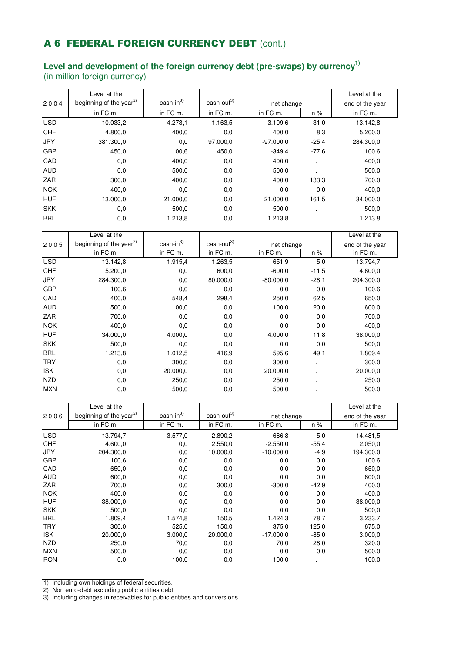## A 6 FEDERAL FOREIGN CURRENCY DEBT (cont.)

#### **Level and development of the foreign currency debt (pre-swaps) by currency1)** (in million foreign currency)

Level at the Level at the Level at the Level at the Level at the Level at the Level at the Level at the Level at the Level at the Level at the Level at the Level at the Level at the Level at the Level at the Level at the L  $2004$  beginning of the year<sup>2)</sup> cash-in<sup>3)</sup> cash-out<sup>3)</sup> end of the year end of the year in FC m. in FC m. in FC m. in FC m. in % in FC m. USD 10.033,2 4.273,1 1.163,5 3.109,6 31,0 13.142,8 CHF 4.800,0 400,0 0,0 400,0 8,3 5.200,0 JPY 381.300,0 0,0 97.000,0 -97.000,0 -25,4 284.300,0 GBP 450,0 100,6 450,0 -349,4 -77,6 100,6 CAD 0,0 400,0 0,0 400,0 . 400,0 AUD 0,0 500,0 0,0 500,0 . 500,0 ZAR 300,0 400,0 0,0 400,0 133,3 700,0 NOK 400,0 0,0 0,0 0,0 0,0 400,0 HUF 13.000,0 21.000,0 0,0 21.000,0 161,5 34.000,0 SKK 0,0 500,0 0,0 500,0 . 500,0 BRL 0,0 1.213,8 0,0 1.213,8 . 1.213,8 net change

|            | Level at the                        |            |                        |             |         | Level at the    |
|------------|-------------------------------------|------------|------------------------|-------------|---------|-----------------|
| 2005       | beginning of the year <sup>2)</sup> | $cash-in3$ | cash-out <sup>3)</sup> | net change  |         | end of the year |
|            | in FC m.                            | in FC m.   | in FC m.               | in FC m.    | in $%$  | in FC m.        |
| <b>USD</b> | 13.142,8                            | 1.915,4    | 1.263,5                | 651,9       | 5,0     | 13.794,7        |
| <b>CHF</b> | 5.200,0                             | 0,0        | 600,0                  | $-600,0$    | $-11,5$ | 4.600,0         |
| <b>JPY</b> | 284.300,0                           | 0,0        | 80.000,0               | $-80.000,0$ | $-28,1$ | 204.300,0       |
| <b>GBP</b> | 100,6                               | 0,0        | 0,0                    | 0,0         | 0,0     | 100,6           |
| CAD        | 400,0                               | 548,4      | 298,4                  | 250,0       | 62,5    | 650,0           |
| <b>AUD</b> | 500,0                               | 100,0      | 0,0                    | 100,0       | 20,0    | 600,0           |
| <b>ZAR</b> | 700,0                               | 0,0        | 0,0                    | 0,0         | 0,0     | 700,0           |
| <b>NOK</b> | 400,0                               | 0,0        | 0,0                    | 0,0         | 0,0     | 400,0           |
| <b>HUF</b> | 34.000,0                            | 4.000,0    | 0,0                    | 4.000,0     | 11,8    | 38.000,0        |
| <b>SKK</b> | 500,0                               | 0,0        | 0,0                    | 0,0         | 0,0     | 500,0           |
| <b>BRL</b> | 1.213,8                             | 1.012,5    | 416,9                  | 595.6       | 49,1    | 1.809,4         |
| <b>TRY</b> | 0,0                                 | 300,0      | 0,0                    | 300,0       | ٠       | 300,0           |
| <b>ISK</b> | 0,0                                 | 20.000,0   | 0,0                    | 20.000,0    |         | 20.000,0        |
| <b>NZD</b> | 0,0                                 | 250,0      | 0,0                    | 250,0       |         | 250,0           |
| <b>MXN</b> | 0,0                                 | 500,0      | 0,0                    | 500,0       |         | 500,0           |

|            | Level at the                        |            |                        |             |         | Level at the    |
|------------|-------------------------------------|------------|------------------------|-------------|---------|-----------------|
| 2006       | beginning of the year <sup>2)</sup> | $cash-in3$ | cash-out <sup>3)</sup> | net change  |         | end of the year |
|            | in FC m.                            | in FC m.   | in FC m.               | in FC m.    | in $%$  | in FC m.        |
| <b>USD</b> | 13.794,7                            | 3.577,0    | 2.890,2                | 686,8       | 5,0     | 14.481,5        |
| <b>CHF</b> | 4.600,0                             | 0,0        | 2.550,0                | $-2.550,0$  | $-55,4$ | 2.050,0         |
| <b>JPY</b> | 204.300,0                           | 0,0        | 10.000,0               | $-10.000,0$ | $-4,9$  | 194.300,0       |
| <b>GBP</b> | 100,6                               | 0,0        | 0,0                    | 0,0         | 0,0     | 100,6           |
| CAD        | 650,0                               | 0,0        | 0,0                    | 0,0         | 0,0     | 650,0           |
| <b>AUD</b> | 600,0                               | 0,0        | 0,0                    | 0,0         | 0,0     | 600,0           |
| ZAR        | 700,0                               | 0,0        | 300,0                  | $-300,0$    | $-42,9$ | 400,0           |
| <b>NOK</b> | 400,0                               | 0,0        | 0,0                    | 0,0         | 0,0     | 400,0           |
| <b>HUF</b> | 38.000,0                            | 0,0        | 0,0                    | 0,0         | 0,0     | 38.000,0        |
| <b>SKK</b> | 500,0                               | 0,0        | 0,0                    | 0,0         | 0,0     | 500,0           |
| <b>BRL</b> | 1.809,4                             | 1.574,8    | 150,5                  | 1.424,3     | 78,7    | 3.233,7         |
| <b>TRY</b> | 300,0                               | 525,0      | 150,0                  | 375,0       | 125,0   | 675,0           |
| <b>ISK</b> | 20.000,0                            | 3.000,0    | 20.000,0               | $-17.000,0$ | $-85,0$ | 3.000,0         |
| <b>NZD</b> | 250,0                               | 70,0       | 0,0                    | 70,0        | 28,0    | 320,0           |
| <b>MXN</b> | 500,0                               | 0,0        | 0,0                    | 0,0         | 0,0     | 500,0           |
| <b>RON</b> | 0,0                                 | 100,0      | 0,0                    | 100,0       |         | 100,0           |

1) Including own holdings of federal securities.

2) Non euro-debt excluding public entities debt.

3) Including changes in receivables for public entities and conversions.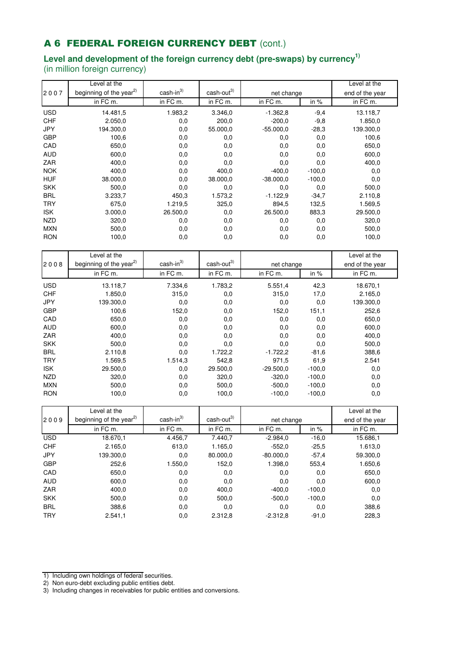# A 6 FEDERAL FOREIGN CURRENCY DEBT (cont.)

### **Level and development of the foreign currency debt (pre-swaps) by currency1)** (in million foreign currency)

|            | Level at the                        |            |                        |             |          | Level at the    |
|------------|-------------------------------------|------------|------------------------|-------------|----------|-----------------|
| 2007       | beginning of the year <sup>2)</sup> | $cash-in3$ | cash-out <sup>3)</sup> | net change  |          | end of the year |
|            | in FC m.                            | in FC m.   | in FC m.               | in FC m.    | in $%$   | in FC m.        |
| <b>USD</b> | 14.481,5                            | 1.983,2    | 3.346,0                | $-1.362.8$  | $-9,4$   | 13.118,7        |
| <b>CHF</b> | 2.050,0                             | 0,0        | 200,0                  | $-200,0$    | $-9,8$   | 1.850,0         |
| JPY        | 194.300,0                           | 0,0        | 55.000,0               | $-55.000,0$ | $-28,3$  | 139.300,0       |
| <b>GBP</b> | 100,6                               | 0,0        | 0,0                    | 0,0         | 0,0      | 100,6           |
| CAD        | 650,0                               | 0,0        | 0,0                    | 0,0         | 0,0      | 650,0           |
| <b>AUD</b> | 600,0                               | 0,0        | 0,0                    | 0,0         | 0,0      | 600,0           |
| ZAR        | 400,0                               | 0,0        | 0,0                    | 0,0         | 0,0      | 400,0           |
| <b>NOK</b> | 400,0                               | 0,0        | 400,0                  | $-400,0$    | $-100,0$ | 0,0             |
| <b>HUF</b> | 38.000,0                            | 0,0        | 38.000,0               | $-38.000,0$ | $-100,0$ | 0,0             |
| <b>SKK</b> | 500,0                               | 0,0        | 0,0                    | 0,0         | 0,0      | 500,0           |
| <b>BRL</b> | 3.233,7                             | 450,3      | 1.573,2                | $-1.122.9$  | $-34,7$  | 2.110,8         |
| <b>TRY</b> | 675,0                               | 1.219,5    | 325,0                  | 894,5       | 132,5    | 1.569,5         |
| <b>ISK</b> | 3.000,0                             | 26.500,0   | 0,0                    | 26.500,0    | 883,3    | 29.500,0        |
| <b>NZD</b> | 320,0                               | 0,0        | 0,0                    | 0,0         | 0,0      | 320,0           |
| <b>MXN</b> | 500,0                               | 0,0        | 0,0                    | 0,0         | 0,0      | 500,0           |
| <b>RON</b> | 100,0                               | 0,0        | 0,0                    | 0,0         | 0,0      | 100,0           |

|            | Level at the                        |            |                        |             |          | Level at the    |
|------------|-------------------------------------|------------|------------------------|-------------|----------|-----------------|
| 2008       | beginning of the year <sup>2)</sup> | $cash-in3$ | $\text{cash-out}^{3)}$ | net change  |          | end of the year |
|            | in FC m.                            | in FC m.   | in FC m.               | in FC m.    | in $%$   | in FC m.        |
| <b>USD</b> | 13.118,7                            | 7.334,6    | 1.783,2                | 5.551,4     | 42,3     | 18.670,1        |
| <b>CHF</b> | 1.850,0                             | 315,0      | 0,0                    | 315,0       | 17,0     | 2.165,0         |
| <b>JPY</b> | 139.300,0                           | 0,0        | 0,0                    | 0,0         | 0,0      | 139.300,0       |
| <b>GBP</b> | 100,6                               | 152,0      | 0,0                    | 152,0       | 151,1    | 252,6           |
| CAD        | 650,0                               | 0,0        | 0,0                    | 0,0         | 0,0      | 650,0           |
| <b>AUD</b> | 600,0                               | 0,0        | 0,0                    | 0,0         | 0,0      | 600,0           |
| ZAR        | 400,0                               | 0,0        | 0,0                    | 0,0         | 0,0      | 400,0           |
| <b>SKK</b> | 500,0                               | 0,0        | 0,0                    | 0,0         | 0,0      | 500,0           |
| <b>BRL</b> | 2.110.8                             | 0,0        | 1.722,2                | $-1.722,2$  | $-81.6$  | 388,6           |
| <b>TRY</b> | 1.569,5                             | 1.514,3    | 542.8                  | 971,5       | 61,9     | 2.541           |
| <b>ISK</b> | 29.500,0                            | 0,0        | 29.500,0               | $-29.500,0$ | $-100,0$ | 0,0             |
| <b>NZD</b> | 320,0                               | 0,0        | 320,0                  | $-320.0$    | $-100,0$ | 0,0             |
| <b>MXN</b> | 500,0                               | 0,0        | 500,0                  | $-500.0$    | $-100.0$ | 0,0             |
| <b>RON</b> | 100,0                               | 0,0        | 100,0                  | $-100,0$    | $-100.0$ | 0,0             |

|            | Level at the                        |                                                        |          |             |                 | Level at the |
|------------|-------------------------------------|--------------------------------------------------------|----------|-------------|-----------------|--------------|
| 2009       | beginning of the year <sup>2)</sup> | $cash-in^{3)}$<br>cash-out <sup>3)</sup><br>net change |          |             | end of the year |              |
|            | in FC m.                            | in FC m.                                               | in FC m. | in FC m.    | in $%$          | in FC m.     |
| <b>USD</b> | 18.670,1                            | 4.456,7                                                | 7.440,7  | $-2.984,0$  | $-16.0$         | 15.686,1     |
| <b>CHF</b> | 2.165,0                             | 613,0                                                  | 1.165,0  | $-552.0$    | $-25.5$         | 1.613,0      |
| <b>JPY</b> | 139.300,0                           | 0,0                                                    | 80.000.0 | $-80.000.0$ | $-57,4$         | 59.300,0     |
| <b>GBP</b> | 252,6                               | 1.550,0                                                | 152,0    | 1.398,0     | 553.4           | 1.650,6      |
| CAD        | 650,0                               | 0,0                                                    | 0,0      | 0,0         | 0,0             | 650,0        |
| <b>AUD</b> | 600,0                               | 0,0                                                    | 0,0      | 0,0         | 0,0             | 600,0        |
| ZAR        | 400,0                               | 0,0                                                    | 400,0    | $-400,0$    | $-100,0$        | 0,0          |
| <b>SKK</b> | 500,0                               | 0,0                                                    | 500,0    | $-500.0$    | $-100,0$        | 0,0          |
| <b>BRL</b> | 388,6                               | 0,0                                                    | 0,0      | 0,0         | 0,0             | 388,6        |
| <b>TRY</b> | 2.541.1                             | 0,0                                                    | 2.312.8  | $-2.312.8$  | $-91,0$         | 228.3        |

- 1) Including own holdings of federal securities.
- 2) Non euro-debt excluding public entities debt.

<sup>3)</sup> Including changes in receivables for public entities and conversions.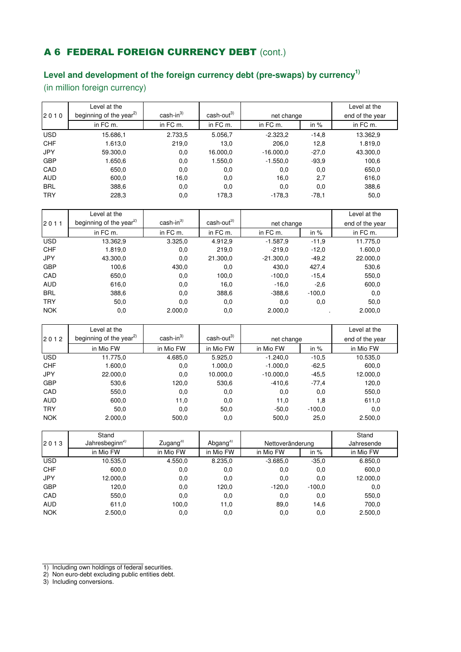## A 6 FEDERAL FOREIGN CURRENCY DEBT (cont.)

## **Level and development of the foreign currency debt (pre-swaps) by currency1)**

(in million foreign currency)

|            | Level at the                        |            |                        |             |            | Level at the |  |
|------------|-------------------------------------|------------|------------------------|-------------|------------|--------------|--|
| 2010       | beginning of the year <sup>2)</sup> | $cash-in3$ | $\text{cash-out}^{3)}$ |             | net change |              |  |
|            | in FC m.                            | in FC m.   | in FC m.               | in FC m.    | in $%$     | in FC m.     |  |
| <b>USD</b> | 15.686,1                            | 2.733,5    | 5.056,7                | $-2.323,2$  | $-14,8$    | 13.362,9     |  |
| <b>CHF</b> | 1.613,0                             | 219,0      | 13,0                   | 206,0       | 12,8       | 1.819,0      |  |
| <b>JPY</b> | 59.300,0                            | 0,0        | 16.000,0               | $-16.000.0$ | $-27.0$    | 43.300,0     |  |
| <b>GBP</b> | 1.650,6                             | 0,0        | 1.550,0                | $-1.550,0$  | $-93.9$    | 100,6        |  |
| CAD        | 650,0                               | 0,0        | 0,0                    | 0,0         | 0,0        | 650,0        |  |
| <b>AUD</b> | 600,0                               | 16,0       | 0,0                    | 16,0        | 2,7        | 616,0        |  |
| <b>BRL</b> | 388,6                               | 0,0        | 0,0                    | 0,0         | 0,0        | 388,6        |  |
| <b>TRY</b> | 228,3                               | 0,0        | 178,3                  | $-178.3$    | $-78.1$    | 50,0         |  |

| 2011       | Level at the<br>beginning of the year <sup>2)</sup> | $cash-in3$ | $\text{cash-out}^{3)}$ | net change  | Level at the<br>end of the year |          |
|------------|-----------------------------------------------------|------------|------------------------|-------------|---------------------------------|----------|
|            |                                                     |            |                        |             |                                 |          |
|            | in FC m.                                            | in FC m.   | in FC m.               | in FC m.    | in $%$                          | in FC m. |
| <b>USD</b> | 13.362,9                                            | 3.325,0    | 4.912,9                | $-1.587.9$  | $-11,9$                         | 11.775,0 |
| <b>CHF</b> | 1.819,0                                             | 0,0        | 219,0                  | $-219.0$    | $-12.0$                         | 1.600,0  |
| <b>JPY</b> | 43.300,0                                            | 0,0        | 21.300,0               | $-21.300.0$ | $-49.2$                         | 22.000,0 |
| <b>GBP</b> | 100,6                                               | 430,0      | 0,0                    | 430,0       | 427,4                           | 530,6    |
| CAD        | 650,0                                               | 0,0        | 100,0                  | $-100,0$    | $-15.4$                         | 550,0    |
| <b>AUD</b> | 616,0                                               | 0,0        | 16,0                   | $-16.0$     | $-2,6$                          | 600,0    |
| <b>BRL</b> | 388,6                                               | 0,0        | 388,6                  | $-388.6$    | $-100.0$                        | 0,0      |
| <b>TRY</b> | 50,0                                                | 0,0        | 0,0                    | 0,0         | 0,0                             | 50,0     |
| <b>NOK</b> | 0,0                                                 | 2.000,0    | 0,0                    | 2.000,0     |                                 | 2.000,0  |

|            | Level at the                        |            |                        |             |          | Level at the    |
|------------|-------------------------------------|------------|------------------------|-------------|----------|-----------------|
| 2012       | beginning of the year <sup>2)</sup> | $cash-in3$ | cash-out <sup>3)</sup> | net change  |          | end of the year |
|            | in Mio FW                           | in Mio FW  | in Mio FW              | in Mio FW   | in $%$   | in Mio FW       |
| <b>USD</b> | 11.775,0                            | 4.685,0    | 5.925,0                | $-1.240,0$  | $-10,5$  | 10.535,0        |
| <b>CHF</b> | 1.600,0                             | 0,0        | 1.000,0                | $-1.000.0$  | $-62.5$  | 600,0           |
| <b>JPY</b> | 22.000,0                            | 0,0        | 10.000,0               | $-10.000.0$ | $-45.5$  | 12.000,0        |
| <b>GBP</b> | 530,6                               | 120,0      | 530,6                  | $-410.6$    | $-77,4$  | 120,0           |
| CAD        | 550,0                               | 0,0        | 0,0                    | 0,0         | 0,0      | 550,0           |
| <b>AUD</b> | 600,0                               | 11,0       | 0,0                    | 11,0        | 1,8      | 611,0           |
| <b>TRY</b> | 50,0                                | 0,0        | 50,0                   | $-50.0$     | $-100.0$ | 0,0             |
| <b>NOK</b> | 2.000,0                             | 500,0      | 0,0                    | 500,0       | 25,0     | 2.500,0         |

|            | Stand                      |                                    |           |                  |          | Stand      |
|------------|----------------------------|------------------------------------|-----------|------------------|----------|------------|
| 2013       | Jahresbeginn <sup>2)</sup> | Zugang $3$<br>Abgang <sup>3)</sup> |           | Nettoveränderung |          | Jahresende |
|            | in Mio FW                  | in Mio FW                          | in Mio FW | in Mio FW        | in $%$   | in Mio FW  |
| <b>USD</b> | 10.535,0                   | 4.550,0                            | 8.235,0   | $-3.685.0$       | $-35.0$  | 6.850,0    |
| <b>CHF</b> | 600,0                      | 0,0                                | 0,0       | 0,0              | 0,0      | 600,0      |
| <b>JPY</b> | 12.000,0                   | 0,0                                | 0,0       | 0,0              | 0,0      | 12.000,0   |
| <b>GBP</b> | 120,0                      | 0,0                                | 120,0     | $-120,0$         | $-100.0$ | 0,0        |
| CAD        | 550,0                      | 0,0                                | 0,0       | 0,0              | 0,0      | 550,0      |
| <b>AUD</b> | 611,0                      | 100,0                              | 11,0      | 89,0             | 14,6     | 700,0      |
| <b>NOK</b> | 2.500.0                    | 0,0                                | 0,0       | 0,0              | 0,0      | 2.500,0    |

3) Including conversions.

<sup>1)</sup> Including own holdings of federal securities.

<sup>2)</sup> Non euro-debt excluding public entities debt.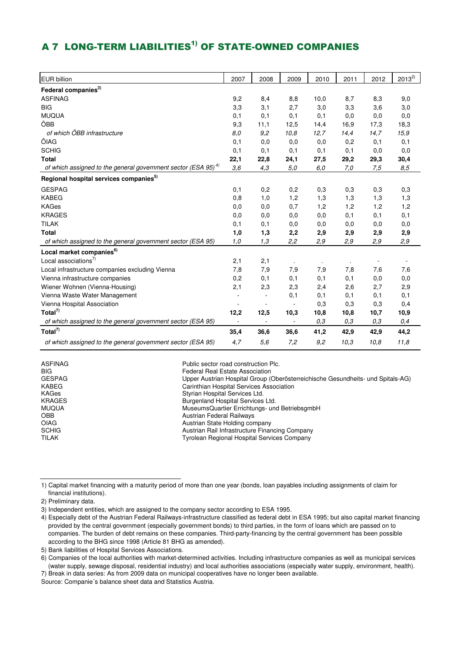# A 7 LONG-TERM LIABILITIES<sup>1)</sup> OF STATE-OWNED COMPANIES

| <b>EUR billion</b>                                                   | 2007 | 2008                     | 2009 | 2010 | 2011 | 2012 | $2013^{2}$ |
|----------------------------------------------------------------------|------|--------------------------|------|------|------|------|------------|
| Federal companies <sup>3)</sup>                                      |      |                          |      |      |      |      |            |
| <b>ASFINAG</b>                                                       | 9,2  | 8,4                      | 8,8  | 10,0 | 8,7  | 8,3  | 9,0        |
| <b>BIG</b>                                                           | 3,3  | 3,1                      | 2,7  | 3,0  | 3,3  | 3,6  | 3,0        |
| <b>MUQUA</b>                                                         | 0,1  | 0,1                      | 0,1  | 0,1  | 0,0  | 0,0  | 0,0        |
| ÖBB                                                                  | 9,3  | 11,1                     | 12,5 | 14,4 | 16,9 | 17,3 | 18,3       |
| of which ÖBB infrastructure                                          | 8,0  | 9,2                      | 10,8 | 12,7 | 14,4 | 14,7 | 15,9       |
| ÖIAG                                                                 | 0,1  | 0,0                      | 0,0  | 0,0  | 0,2  | 0,1  | 0,1        |
| <b>SCHIG</b>                                                         | 0,1  | 0,1                      | 0,1  | 0,1  | 0,1  | 0,0  | 0,0        |
| <b>Total</b>                                                         | 22,1 | 22,8                     | 24,1 | 27,5 | 29,2 | 29,3 | 30,4       |
| of which assigned to the general government sector (ESA 95) $^{4}$ ) | 3,6  | 4,3                      | 5,0  | 6,0  | 7,0  | 7,5  | 8,5        |
| Regional hospital services companies <sup>5)</sup>                   |      |                          |      |      |      |      |            |
| <b>GESPAG</b>                                                        | 0,1  | 0,2                      | 0,2  | 0,3  | 0,3  | 0,3  | 0,3        |
| <b>KABEG</b>                                                         | 0,8  | 1,0                      | 1,2  | 1,3  | 1,3  | 1,3  | 1,3        |
| <b>KAGes</b>                                                         | 0,0  | 0,0                      | 0,7  | 1,2  | 1,2  | 1,2  | 1,2        |
| <b>KRAGES</b>                                                        | 0,0  | 0,0                      | 0,0  | 0,0  | 0,1  | 0,1  | 0,1        |
| <b>TILAK</b>                                                         | 0,1  | 0,1                      | 0,0  | 0,0  | 0,0  | 0,0  | 0,0        |
| <b>Total</b>                                                         | 1,0  | 1,3                      | 2,2  | 2,9  | 2,9  | 2,9  | 2,9        |
| of which assigned to the general government sector (ESA 95)          | 1.0  | 1,3                      | 2,2  | 2,9  | 2,9  | 2,9  | 2,9        |
| Local market companies <sup>6)</sup>                                 |      |                          |      |      |      |      |            |
| Local associations <sup>7)</sup>                                     | 2,1  | 2,1                      |      |      |      |      |            |
| Local infrastructure companies excluding Vienna                      | 7,8  | 7,9                      | 7,9  | 7,9  | 7,8  | 7,6  | 7,6        |
| Vienna infrastructure companies                                      | 0,2  | 0,1                      | 0,1  | 0,1  | 0,1  | 0,0  | 0,0        |
| Wiener Wohnen (Vienna-Housing)                                       | 2,1  | 2,3                      | 2,3  | 2,4  | 2,6  | 2,7  | 2,9        |
| Vienna Waste Water Management                                        | ÷    | $\overline{\phantom{a}}$ | 0,1  | 0,1  | 0,1  | 0,1  | 0,1        |
| Vienna Hospital Association                                          |      |                          |      | 0,3  | 0,3  | 0,3  | 0,4        |
| Total <sup>7)</sup>                                                  | 12,2 | 12,5                     | 10,3 | 10,8 | 10,8 | 10,7 | 10,9       |
| of which assigned to the general government sector (ESA 95)          |      |                          |      | 0,3  | 0,3  | 0,3  | 0,4        |
| Total $7$                                                            | 35,4 | 36,6                     | 36,6 | 41,2 | 42,9 | 42,9 | 44,2       |
| of which assigned to the general government sector (ESA 95)          | 4,7  | 5,6                      | 7,2  | 9,2  | 10,3 | 10,8 | 11,8       |

ASFINAG **Public sector road construction Plc.** 

BIG Federal Real Estate Association<br>GESPAG FESPAG FEDERAL STREET ASSOCIATE Under Austrian Hospital Group (

Upper Austrian Hospital Group (Oberösterreichische Gesundheits- und Spitals-AG)

KABEG Carinthian Hospital Services Association<br>
KAGes Carinthian Hospital Services Ltd.

KAGes Styrian Hospital Services Ltd. Burgenland Hospital Services Ltd.

MUQUA MuseumsQuartier Errichtungs- und BetriebsgmbH<br>
MuseumsQuartier Errichtungs- und BetriebsgmbH<br>
Austrian Federal Railways

**Austrian Federal Railways** 

ÖIAG Austrian State Holding company

SCHIG **Austrian Rail Infrastructure Financing Company**<br>TILAK TILAK TILAK Tyrolean Regional Hospital Services Company

 financial institutions). 1) Capital market financing with a maturity period of more than one year (bonds, loan payables including assignments of claim for

2) Preliminary data.

3) Independent entities, which are assigned to the company sector according to ESA 1995.

4) Especially debt of the Austrian Federal Railways-infrastructure classified as federal debt in ESA 1995; but also capital market financing provided by the central government (especially government bonds) to third parties, in the form of loans which are passed on to companies. The burden of debt remains on these companies. Third-party-financing by the central government has been possible according to the BHG since 1998 (Article 81 BHG as amended).

5) Bank liabilities of Hospital Services Associations.

6) Companies of the local authorities with market-determined activities. Including infrastructure companies as well as municipal services (water supply, sewage disposal, residential industry) and local authorities associations (especially water supply, environment, health). 7) Break in data series: As from 2009 data on municipal cooperatives have no longer been available.

Source: Companie´s balance sheet data and Statistics Austria.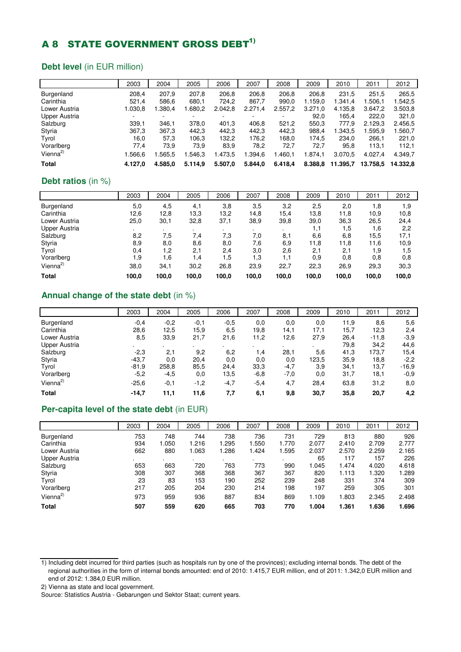# A 8 STATE GOVERNMENT GROSS DEBT<sup>1)</sup>

#### **Debt level** (in EUR million)

|                      | 2003    | 2004    | 2005    | 2006    | 2007    | 2008    | 2009    | 2010     | 2011     | 2012     |
|----------------------|---------|---------|---------|---------|---------|---------|---------|----------|----------|----------|
| <b>Burgenland</b>    | 208,4   | 207,9   | 207,8   | 206,8   | 206,8   | 206.8   | 206,8   | 231,5    | 251,5    | 265,5    |
| Carinthia            | 521.4   | 586,6   | 680.1   | 724,2   | 867.7   | 990,0   | 1.159.0 | 1.341.4  | 1.506.1  | 1.542,5  |
| Lower Austria        | 1.030.8 | 1.380,4 | 1.680.2 | 2.042,8 | 2.271,4 | 2.557,2 | 3.271,0 | 4.135,8  | 3.647.2  | 3.503,8  |
| Upper Austria        | ۰.      |         |         |         | -       |         | 92.0    | 165.4    | 222.0    | 321,0    |
| Salzburg             | 339,1   | 346.1   | 378,0   | 401,3   | 406,8   | 521,2   | 550,3   | 777,9    | 2.129,3  | 2.456,5  |
| Styria               | 367,3   | 367,3   | 442,3   | 442,3   | 442.3   | 442.3   | 988,4   | 1.343.5  | .595.9   | 1.560,7  |
| Tyrol                | 16,0    | 57,3    | 106,3   | 132,2   | 176,2   | 168.0   | 174.5   | 234.0    | 266.1    | 221,0    |
| Vorarlberg           | 77.4    | 73,9    | 73,9    | 83,9    | 78,2    | 72,7    | 72,7    | 95,8     | 113,1    | 112,1    |
| Vienna <sup>2)</sup> | 1.566.6 | .565.5  | 1.546.3 | 1.473,5 | 1.394,6 | 1.460.1 | .874.1  | 3.070,5  | 4.027.4  | 4.349.7  |
| <b>Total</b>         | 4.127.0 | 4.585.0 | 5.114,9 | 5.507,0 | 5.844,0 | 6.418,4 | 8.388,8 | 11.395,7 | 13.758,5 | 14.332,8 |

#### **Debt ratios** (in %)

|                      | 2003  | 2004  | 2005  | 2006  | 2007  | 2008  | 2009  | 2010  | 2011  | 2012  |
|----------------------|-------|-------|-------|-------|-------|-------|-------|-------|-------|-------|
| Burgenland           | 5,0   | 4,5   | 4,1   | 3,8   | 3,5   | 3,2   | 2,5   | 2,0   | 1,8   | 1,9   |
| Carinthia            | 12,6  | 12,8  | 13,3  | 13,2  | 14,8  | 15,4  | 13,8  | 11,8  | 10,9  | 10,8  |
| Lower Austria        | 25,0  | 30,1  | 32,8  | 37,1  | 38,9  | 39,8  | 39,0  | 36,3  | 26,5  | 24,4  |
| <b>Upper Austria</b> |       |       |       |       |       |       | 1,1   | 1,5   | 1,6   | 2,2   |
| Salzburg             | 8,2   | 7,5   | 7,4   | 7,3   | 7,0   | 8,1   | 6.6   | 6,8   | 15,5  | 17,1  |
| Styria               | 8,9   | 8,0   | 8,6   | 8,0   | 7.6   | 6,9   | 11,8  | 11,8  | 11.6  | 10,9  |
| Tyrol                | 0,4   | 1,2   | 2,1   | 2,4   | 3.0   | 2,6   | 2,1   | 2,1   | 1,9   | 1.5   |
| Vorarlberg           | 1.9   | 1.6   | 1.4   | 1,5   | 1.3   | 1.1   | 0.9   | 0,8   | 0,8   | 0,8   |
| Vienna <sup>2)</sup> | 38,0  | 34,1  | 30,2  | 26,8  | 23,9  | 22,7  | 22,3  | 26,9  | 29,3  | 30,3  |
| <b>Total</b>         | 100.0 | 100,0 | 100,0 | 100,0 | 100.0 | 100,0 | 100,0 | 100,0 | 100,0 | 100,0 |

#### **Annual change of the state debt** (in %)

|                      | 2003    | 2004   | 2005   | 2006   | 2007   | 2008    | 2009  | 2010 | 2011    | 2012    |
|----------------------|---------|--------|--------|--------|--------|---------|-------|------|---------|---------|
| Burgenland           | $-0,4$  | $-0,2$ | $-0,1$ | $-0.5$ | 0,0    | 0,0     | 0,0   | 11,9 | 8,6     | 5,6     |
| Carinthia            | 28,6    | 12,5   | 15,9   | 6,5    | 19,8   | 14,1    | 17,1  | 15,7 | 12,3    | 2,4     |
| Lower Austria        | 8,5     | 33,9   | 21,7   | 21,6   | 11,2   | 12,6    | 27,9  | 26,4 | $-11,8$ | $-3,9$  |
| Upper Austria        |         | ٠.     |        |        |        | $\cdot$ |       | 79,8 | 34,2    | 44,6    |
| Salzburg             | $-2,3$  | 2,1    | 9,2    | 6,2    | 1,4    | 28,1    | 5,6   | 41,3 | 173,7   | 15,4    |
| Styria               | $-43,7$ | 0,0    | 20,4   | 0,0    | 0,0    | 0,0     | 123,5 | 35,9 | 18,8    | $-2,2$  |
| Tyrol                | $-81.9$ | 258,8  | 85,5   | 24,4   | 33,3   | $-4,7$  | 3,9   | 34,1 | 13,7    | $-16.9$ |
| Vorarlberg           | $-5,2$  | $-4,5$ | 0,0    | 13,5   | $-6,8$ | $-7,0$  | 0,0   | 31,7 | 18,1    | $-0.9$  |
| Vienna <sup>2)</sup> | $-25,6$ | $-0,1$ | $-1,2$ | $-4,7$ | $-5,4$ | 4,7     | 28,4  | 63,8 | 31,2    | 8,0     |
| <b>Total</b>         | $-14,7$ | 11,1   | 11,6   | 7,7    | 6,1    | 9,8     | 30,7  | 35,8 | 20,7    | 4,2     |

#### **Per-capita level of the state debt** (in EUR)

|                      | 2003 | 2004  | 2005  | 2006  | 2007  | 2008  | 2009  | 2010  | 2011  | 2012  |
|----------------------|------|-------|-------|-------|-------|-------|-------|-------|-------|-------|
| Burgenland           | 753  | 748   | 744   | 738   | 736   | 731   | 729   | 813   | 880   | 926   |
| Carinthia            | 934  | 1.050 | 1.216 | 1.295 | 1.550 | 1.770 | 2.077 | 2.410 | 2.709 | 2.777 |
| Lower Austria        | 662  | 880   | 1.063 | 1.286 | 1.424 | 1.595 | 2.037 | 2.570 | 2.259 | 2.165 |
| Upper Austria        |      |       |       |       |       |       | 65    | 117   | 157   | 226   |
| Salzburg             | 653  | 663   | 720   | 763   | 773   | 990   | 1.045 | .474  | 4.020 | 4.618 |
| Styria               | 308  | 307   | 368   | 368   | 367   | 367   | 820   | 1.113 | 1.320 | 1.289 |
| Tyrol                | 23   | 83    | 153   | 190   | 252   | 239   | 248   | 331   | 374   | 309   |
| Vorarlberg           | 217  | 205   | 204   | 230   | 214   | 198   | 197   | 259   | 305   | 301   |
| Vienna <sup>2)</sup> | 973  | 959   | 936   | 887   | 834   | 869   | 1.109 | .803  | 2.345 | 2.498 |
| <b>Total</b>         | 507  | 559   | 620   | 665   | 703   | 770   | 1.004 | 1.361 | 1.636 | 1.696 |

<sup>1)</sup> Including debt incurred for third parties (such as hospitals run by one of the provinces); excluding internal bonds. The debt of the regional authorities in the form of internal bonds amounted: end of 2010: 1.415,7 EUR million, end of 2011: 1.342,0 EUR million and end of 2012: 1.384,0 EUR million.

<sup>2)</sup> Vienna as state and local government.

Source: Statistics Austria - Gebarungen und Sektor Staat; current years.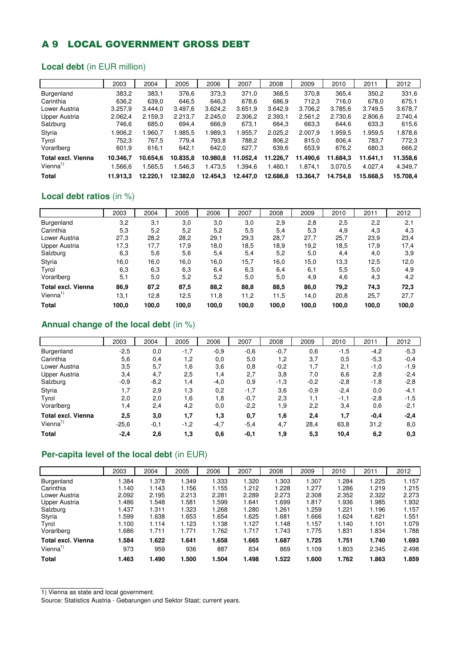## A 9 LOCAL GOVERNMENT GROSS DEBT

### **Local debt** (in EUR million)

|                      | 2003     | 2004     | 2005     | 2006     | 2007     | 2008     | 2009     | 2010     | 2011     | 2012     |
|----------------------|----------|----------|----------|----------|----------|----------|----------|----------|----------|----------|
| Burgenland           | 383,2    | 383,1    | 376,6    | 373,3    | 371,0    | 368,5    | 370,8    | 365,4    | 350.2    | 331,6    |
| Carinthia            | 636.2    | 639.0    | 646,5    | 646,3    | 678,6    | 686,9    | 712.3    | 716.0    | 678.0    | 675.1    |
| Lower Austria        | 3.257,9  | 3.444.0  | 3.497,6  | 3.624,2  | 3.651,9  | 3.642.9  | 3.706,2  | 3.785,6  | 3.749.5  | 3.678.7  |
| Upper Austria        | 2.062.4  | 2.159.3  | 2.213.7  | 2.245.0  | 2.306.2  | 2.393,1  | 2.561,2  | 2.730.6  | 2.806,6  | 2.740.4  |
| Salzburg             | 746.6    | 685,0    | 694,4    | 666.9    | 673.1    | 664,3    | 663,3    | 644,6    | 633,3    | 615,6    |
| Styria               | .906.2   | .960.7   | 1.985.5  | 1.989,3  | 1.955,7  | 2.025.2  | 2.007.9  | .959.5   | 1.959.5  | 1.878.6  |
| Tyrol                | 752.3    | 767.5    | 779.4    | 793,8    | 788,2    | 806,2    | 815,0    | 806,4    | 783.7    | 772.3    |
| Vorarlberg           | 601.9    | 616,1    | 642.1    | 642,0    | 627,7    | 639.6    | 653,9    | 676,2    | 680,3    | 666,2    |
| Total excl. Vienna   | 10.346.7 | 10.654.6 | 10.835.8 | 10.980.8 | 11.052.4 | 11.226.7 | 11.490.6 | 11.684.3 | 11.641.1 | 11.358,6 |
| Vienna <sup>1)</sup> | .566.6   | .565.5   | 1.546.3  | 1.473,5  | 1.394.6  | 1.460.1  | 1.874.1  | 3.070.5  | 4.027.4  | 4.349.7  |
| Total                | 11.913.3 | 12.220.1 | 12.382.0 | 12.454.3 | 12.447,0 | 12.686,8 | 13.364.7 | 14.754.8 | 15.668.5 | 15.708.4 |

#### **Local debt ratios** (in %)

|                           | 2003  | 2004  | 2005  | 2006  | 2007  | 2008  | 2009  | 2010  | 2011  | 2012  |
|---------------------------|-------|-------|-------|-------|-------|-------|-------|-------|-------|-------|
| Burgenland                | 3,2   | 3,1   | 3,0   | 3,0   | 3,0   | 2,9   | 2,8   | 2,5   | 2,2   | 2,1   |
| Carinthia                 | 5,3   | 5,2   | 5,2   | 5,2   | 5,5   | 5,4   | 5,3   | 4,9   | 4,3   | 4,3   |
| Lower Austria             | 27,3  | 28,2  | 28,2  | 29,1  | 29,3  | 28,7  | 27,7  | 25,7  | 23,9  | 23,4  |
| Upper Austria             | 17.3  | 17,7  | 17,9  | 18.0  | 18,5  | 18,9  | 19,2  | 18,5  | 17,9  | 17,4  |
| Salzburg                  | 6,3   | 5,6   | 5,6   | 5,4   | 5,4   | 5,2   | 5,0   | 4,4   | 4,0   | 3,9   |
| Styria                    | 16,0  | 16.0  | 16,0  | 16.0  | 15,7  | 16,0  | 15,0  | 13,3  | 12,5  | 12,0  |
| Tyrol                     | 6,3   | 6,3   | 6,3   | 6,4   | 6,3   | 6,4   | 6,1   | 5,5   | 5,0   | 4,9   |
| Vorarlberg                | 5,1   | 5,0   | 5,2   | 5,2   | 5,0   | 5,0   | 4,9   | 4,6   | 4,3   | 4,2   |
| <b>Total excl. Vienna</b> | 86,9  | 87,2  | 87,5  | 88,2  | 88,8  | 88,5  | 86,0  | 79,2  | 74,3  | 72,3  |
| Vienna <sup>1)</sup>      | 13,1  | 12,8  | 12,5  | 11,8  | 11,2  | 11,5  | 14.0  | 20,8  | 25,7  | 27,7  |
| <b>Total</b>              | 100,0 | 100.0 | 100,0 | 100,0 | 100.0 | 100,0 | 100.0 | 100.0 | 100,0 | 100,0 |

#### **Annual change of the local debt** (in %)

|                           | 2003    | 2004   | 2005   | 2006   | 2007   | 2008   | 2009   | 2010   | 2011   | 2012   |
|---------------------------|---------|--------|--------|--------|--------|--------|--------|--------|--------|--------|
| Burgenland                | $-2,5$  | 0,0    | $-1,7$ | $-0,9$ | $-0,6$ | $-0,7$ | 0,6    | $-1,5$ | $-4,2$ | $-5.3$ |
| Carinthia                 | 5,6     | 0,4    | 1,2    | 0,0    | 5,0    | 1,2    | 3,7    | 0,5    | $-5,3$ | $-0,4$ |
| Lower Austria             | 3,5     | 5,7    | 1,6    | 3,6    | 0,8    | $-0,2$ | 1,7    | 2,1    | $-1,0$ | -1,9   |
| <b>Upper Austria</b>      | 3,4     | 4,7    | 2,5    | 1,4    | 2,7    | 3,8    | 7,0    | 6,6    | 2,8    | $-2,4$ |
| Salzburg                  | $-0,9$  | $-8,2$ | 1,4    | $-4,0$ | 0,9    | $-1,3$ | $-0,2$ | $-2,8$ | $-1,8$ | $-2,8$ |
| Styria                    | 1,7     | 2,9    | 1,3    | 0,2    | $-1,7$ | 3,6    | $-0,9$ | $-2,4$ | 0,0    | $-4,1$ |
| Tyrol                     | 2,0     | 2,0    | 1,6    | 1,8    | $-0,7$ | 2,3    | 1,1    | $-1,1$ | $-2,8$ | $-1,5$ |
| Vorarlberg                | 1,4     | 2,4    | 4,2    | 0,0    | $-2,2$ | 1,9    | 2,2    | 3,4    | 0,6    | $-2,1$ |
| <b>Total excl. Vienna</b> | 2,5     | 3,0    | 1,7    | 1,3    | 0,7    | 1,6    | 2,4    | 1,7    | $-0.4$ | $-2,4$ |
| Vienna <sup>1)</sup>      | $-25,6$ | $-0,1$ | $-1,2$ | $-4,7$ | $-5,4$ | 4,7    | 28,4   | 63,8   | 31,2   | 8,0    |
| <b>Total</b>              | $-2,4$  | 2,6    | 1,3    | 0,6    | $-0,1$ | 1,9    | 5,3    | 10,4   | 6,2    | 0,3    |

### **Per-capita level of the local debt** (in EUR)

|                           | 2003  | 2004  | 2005  | 2006  | 2007  | 2008  | 2009  | 2010  | 2011  | 2012  |
|---------------------------|-------|-------|-------|-------|-------|-------|-------|-------|-------|-------|
| Burgenland                | 1.384 | 1.378 | 1.349 | 1.333 | 1.320 | 1.303 | 1.307 | 1.284 | 1.225 | 1.157 |
| Carinthia                 | 1.140 | 1.143 | 1.156 | 1.155 | 1.212 | 1.228 | 1.277 | 1.286 | 1.219 | 1.215 |
| Lower Austria             | 2.092 | 2.195 | 2.213 | 2.281 | 2.289 | 2.273 | 2.308 | 2.352 | 2.322 | 2.273 |
| Upper Austria             | 1.486 | 1.548 | 1.581 | 1.599 | 1.641 | 1.699 | 1.817 | 1.936 | 1.985 | 1.932 |
| Salzburg                  | 1.437 | 1.311 | 1.323 | 1.268 | 1.280 | 1.261 | 1.259 | 1.221 | 1.196 | 1.157 |
| Styria                    | .599  | 1.638 | 1.653 | 1.654 | 1.625 | 1.681 | .666  | 1.624 | 1.621 | l.551 |
| Tyrol                     | 1.100 | 1.114 | 1.123 | 1.138 | 1.127 | 1.148 | 1.157 | 1.140 | 1.101 | 1.079 |
| Vorarlberg                | .686  | 1.711 | 1.771 | 1.762 | 1.717 | 1.743 | 1.775 | 1.831 | 1.834 | 1.788 |
| <b>Total excl. Vienna</b> | 1.584 | 1.622 | 1.641 | 1.658 | 1.665 | 1.687 | 1.725 | 1.751 | 1.740 | 1.693 |
| Vienna <sup>1)</sup>      | 973   | 959   | 936   | 887   | 834   | 869   | 1.109 | 1.803 | 2.345 | 2.498 |
| <b>Total</b>              | 1.463 | 1.490 | 1.500 | 1.504 | 1.498 | 1.522 | 1.600 | 1.762 | 1.863 | 1.859 |

1) Vienna as state and local government.

Source: Statistics Austria - Gebarungen und Sektor Staat; current years.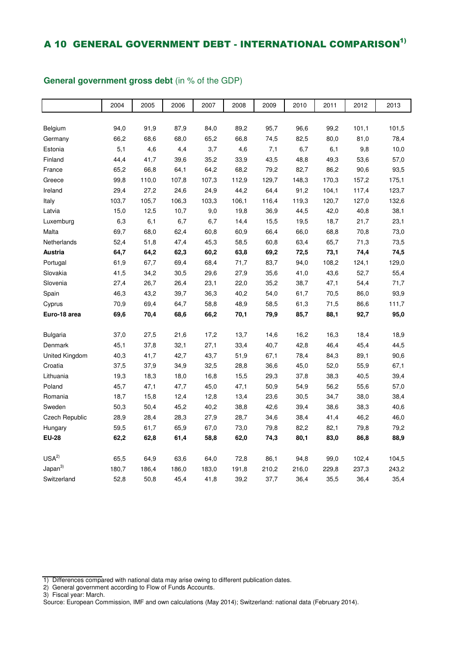### A 10 GENERAL GOVERNMENT DEBT - INTERNATIONAL COMPARISON<sup>1)</sup>

### 2004 2005 2006 2007 2008 2009 2010 2011 2012 2013 Belgium 94,0 91,9 87,9 84,0 89,2 95,7 96,6 99,2 101,1 101,5 Germany 66,2 68,6 68,0 65,2 66,8 74,5 82,5 80,0 81,0 78,4 Estonia 5,1 4,6 4,4 3,7 4,6 7,1 6,7 6,1 9,8 10,0 Finland 44,4 41,7 39,6 35,2 33,9 43,5 48,8 49,3 53,6 57,0 France 65,2 66,8 64,1 64,2 68,2 79,2 82,7 86,2 90,6 93,5 Greece 99,8 110,0 107,8 107,3 112,9 129,7 148,3 170,3 157,2 175,1 Ireland 29,4 27,2 24,6 24,9 44,2 64,4 91,2 104,1 117,4 123,7 Italy 103,7 105,7 106,3 103,3 106,1 116,4 119,3 120,7 127,0 132,6 Latvia 15,0 12,5 10,7 9,0 19,8 36,9 44,5 42,0 40,8 38,1 Luxemburg 6,3 6,1 6,7 6,7 14,4 15,5 19,5 18,7 21,7 23,1 Malta 69,7 68,0 62,4 60,8 60,9 66,4 66,0 68,8 70,8 73,0 Netherlands 52,4 51,8 47,4 45,3 58,5 60,8 63,4 65,7 71,3 73,5 **Austria 64,7 64,2 62,3 60,2 63,8 69,2 72,5 73,1 74,4 74,5**  Portugal 61,9 67,7 69,4 68,4 71,7 83,7 94,0 108,2 124,1 129,0 Slovakia 41,5 34,2 30,5 29,6 27,9 35,6 41,0 43,6 52,7 55,4 Slovenia 27,4 26,7 26,4 23,1 22,0 35,2 38,7 47,1 54,4 71,7 Spain 46,3 43,2 39,7 36,3 40,2 54,0 61,7 70,5 86,0 93,9 Cyprus 70,9 69,4 64,7 58,8 48,9 58,5 61,3 71,5 86,6 111,7 **Euro-18 area 69,6 70,4 68,6 66,2 70,1 79,9 85,7 88,1 92,7 95,0**  Bulgaria 37,0 27,5 21,6 17,2 13,7 14,6 16,2 16,3 18,4 18,9 Denmark 45,1 37,8 32,1 27,1 33,4 40,7 42,8 46,4 45,4 44,5 United Kingdom 40,3 41,7 42,7 43,7 51,9 67,1 78,4 84,3 89,1 90,6 Croatia 37,5 37,9 34,9 32,5 28,8 36,6 45,0 52,0 55,9 67,1 Lithuania 19,3 18,3 18,0 16,8 15,5 29,3 37,8 38,3 40,5 39,4 Poland 45,7 47,1 47,7 45,0 47,1 50,9 54,9 56,2 55,6 57,0 Romania 18,7 15,8 12,4 12,8 13,4 23,6 30,5 34,7 38,0 38,4 Sweden 50,3 50,4 45,2 40,2 38,8 42,6 39,4 38,6 38,3 40,6 Czech Republic 28,9 28,4 28,3 27,9 28,7 34,6 38,4 41,4 46,2 46,0 Hungary 59,5 61,7 65,9 67,0 73,0 79,8 82,2 82,1 79,8 79,2 **EU-28 62,2 62,8 61,4 58,8 62,0 74,3 80,1 83,0 86,8 88,9**   $\mathsf{USA}^{2)}$  65,5 64,9 63,6 64,0 72,8 86,1 94,8 99,0 102,4 104,5 Japan<sup>3)</sup> 180,7 186,4 186,0 183,0 191,8 210,2 216,0 229,8 237,3 243,2 Switzerland 52,8 50,8 45,4 41,8 39,2 37,7 36,4 35,5 36,4 35,4

#### **General government gross debt** (in % of the GDP)

- 2) General government according to Flow of Funds Accounts.
- 3) Fiscal year: March.

<sup>1)</sup> Differences compared with national data may arise owing to different publication dates.

Source: European Commission, IMF and own calculations (May 2014); Switzerland: national data (February 2014).